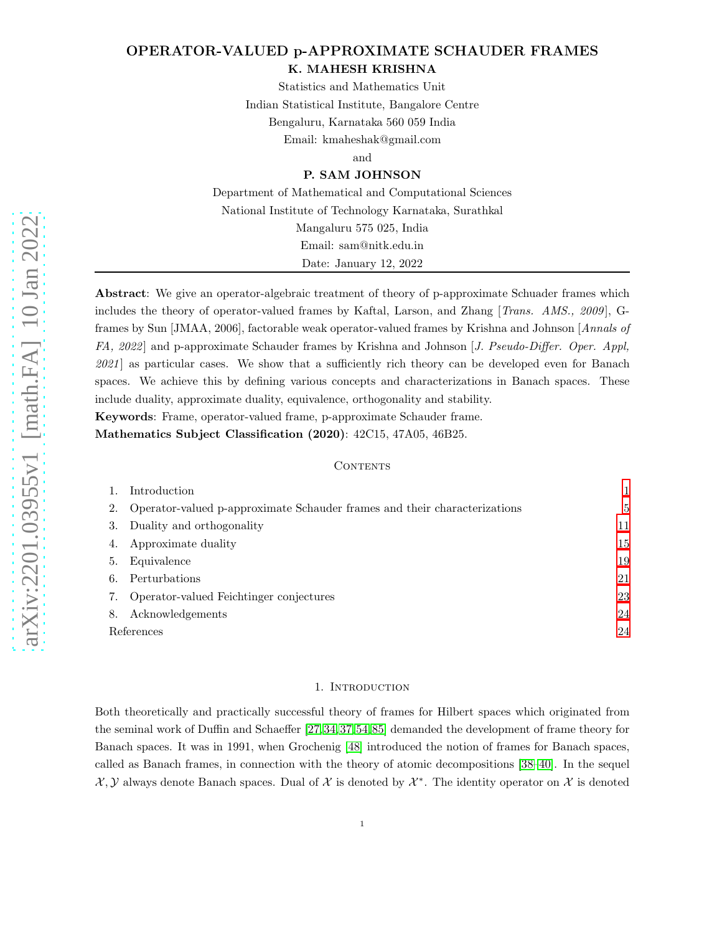# OPERATOR-VALUED p-APPROXIMATE SCHAUDER FRAMES K. MAHESH KRISHNA

Statistics and Mathematics Unit Indian Statistical Institute, Bangalore Centre Bengaluru, Karnataka 560 059 India Email: kmaheshak@gmail.com

and

# P. SAM JOHNSON

Department of Mathematical and Computational Sciences National Institute of Technology Karnataka, Surathkal Mangaluru 575 025, India Email: sam@nitk.edu.in Date: January 12, 2022

Abstract: We give an operator-algebraic treatment of theory of p-approximate Schuader frames which includes the theory of operator-valued frames by Kaftal, Larson, and Zhang [Trans. AMS., 2009], Gframes by Sun [JMAA, 2006], factorable weak operator-valued frames by Krishna and Johnson [Annals of FA, 2022 and p-approximate Schauder frames by Krishna and Johnson [J. Pseudo-Differ. Oper. Appl, 2021] as particular cases. We show that a sufficiently rich theory can be developed even for Banach spaces. We achieve this by defining various concepts and characterizations in Banach spaces. These include duality, approximate duality, equivalence, orthogonality and stability.

Keywords: Frame, operator-valued frame, p-approximate Schauder frame.

Mathematics Subject Classification (2020): 42C15, 47A05, 46B25.

# **CONTENTS**

|                   | Introduction                                                              |    |
|-------------------|---------------------------------------------------------------------------|----|
| 2.                | Operator-valued p-approximate Schauder frames and their characterizations | 5  |
| 3.                | Duality and orthogonality                                                 | 11 |
| 4.                | Approximate duality                                                       | 15 |
| 5.                | Equivalence                                                               | 19 |
| 6.                | Perturbations                                                             | 21 |
|                   | Operator-valued Feichtinger conjectures                                   | 23 |
| 8.                | Acknowledgements                                                          | 24 |
| <b>References</b> |                                                                           |    |
|                   |                                                                           |    |

#### 1. Introduction

<span id="page-0-0"></span>Both theoretically and practically successful theory of frames for Hilbert spaces which originated from the seminal work of Duffin and Schaeffer [\[27,](#page-24-0)[34,](#page-24-1)[37,](#page-25-0)[54,](#page-25-1)[85\]](#page-26-0) demanded the development of frame theory for Banach spaces. It was in 1991, when Grochenig [\[48\]](#page-25-2) introduced the notion of frames for Banach spaces, called as Banach frames, in connection with the theory of atomic decompositions [\[38](#page-25-3)[–40\]](#page-25-4). In the sequel  $\mathcal{X}, \mathcal{Y}$  always denote Banach spaces. Dual of X is denoted by  $\mathcal{X}^*$ . The identity operator on X is denoted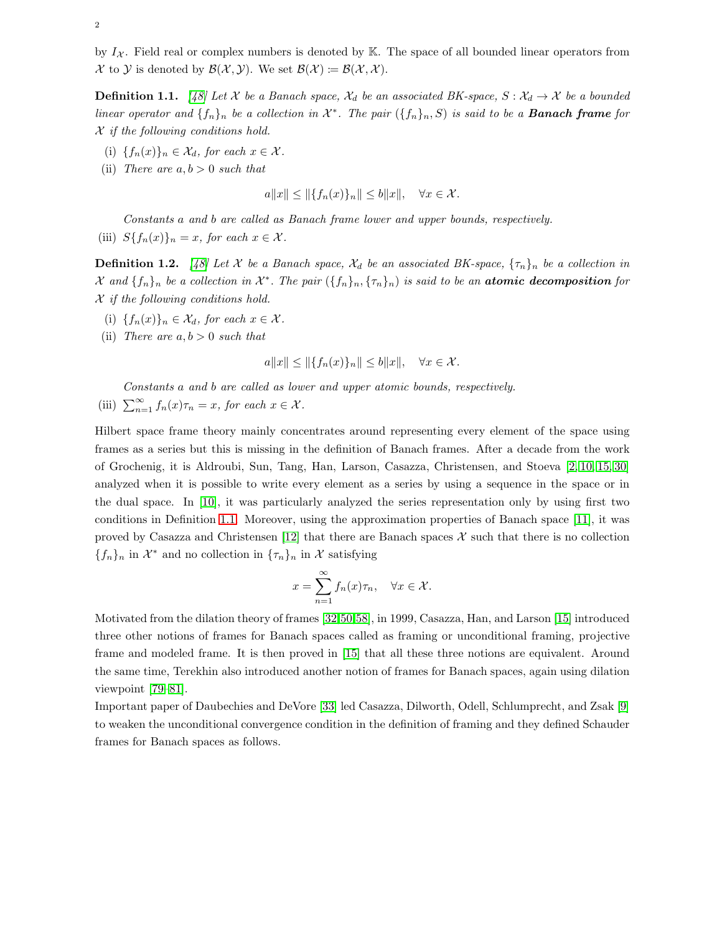by  $I_{\mathcal{X}}$ . Field real or complex numbers is denoted by K. The space of all bounded linear operators from X to Y is denoted by  $\mathcal{B}(\mathcal{X}, \mathcal{Y})$ . We set  $\mathcal{B}(\mathcal{X}) \coloneqq \mathcal{B}(\mathcal{X}, \mathcal{X})$ .

<span id="page-1-0"></span>**Definition 1.1.** [\[48\]](#page-25-2) Let X be a Banach space,  $\mathcal{X}_d$  be an associated BK-space,  $S : \mathcal{X}_d \to \mathcal{X}$  be a bounded linear operator and  $\{f_n\}_n$  be a collection in  $\mathcal{X}^*$ . The pair  $(\{f_n\}_n, S)$  is said to be a **Banach frame** for  $X$  if the following conditions hold.

- (i)  ${f_n(x)}_n \in \mathcal{X}_d$ , for each  $x \in \mathcal{X}$ .
- (ii) There are  $a, b > 0$  such that

$$
a||x|| \le ||\{f_n(x)\}_n|| \le b||x||, \quad \forall x \in \mathcal{X}.
$$

Constants a and b are called as Banach frame lower and upper bounds, respectively.

(iii)  $S{f_n(x)}_n = x$ , for each  $x \in \mathcal{X}$ .

**Definition 1.2.** [\[48\]](#page-25-2) Let X be a Banach space,  $\mathcal{X}_d$  be an associated BK-space,  $\{\tau_n\}_n$  be a collection in  $\mathcal{X}$  and  $\{f_n\}_n$  be a collection in  $\mathcal{X}^*$ . The pair  $(\{f_n\}_n, \{\tau_n\}_n)$  is said to be an atomic decomposition for  $X$  if the following conditions hold.

- (i)  ${f_n(x)}_n \in \mathcal{X}_d$ , for each  $x \in \mathcal{X}$ .
- (ii) There are  $a, b > 0$  such that

$$
a||x|| \le ||\{f_n(x)\}_n|| \le b||x||, \quad \forall x \in \mathcal{X}.
$$

Constants a and b are called as lower and upper atomic bounds, respectively.

(iii)  $\sum_{n=1}^{\infty} f_n(x)\tau_n = x$ , for each  $x \in \mathcal{X}$ .

Hilbert space frame theory mainly concentrates around representing every element of the space using frames as a series but this is missing in the definition of Banach frames. After a decade from the work of Grochenig, it is Aldroubi, Sun, Tang, Han, Larson, Casazza, Christensen, and Stoeva [\[2,](#page-23-2) [10,](#page-24-2) [15,](#page-24-3) [30\]](#page-24-4) analyzed when it is possible to write every element as a series by using a sequence in the space or in the dual space. In [\[10\]](#page-24-2), it was particularly analyzed the series representation only by using first two conditions in Definition [1.1.](#page-1-0) Moreover, using the approximation properties of Banach space [\[11\]](#page-24-5), it was proved by Casazza and Christensen [\[12\]](#page-24-6) that there are Banach spaces  $\mathcal X$  such that there is no collection  ${f_n}_n$  in  $\mathcal{X}^*$  and no collection in  ${\lbrace \tau_n \rbrace_n}$  in  $\mathcal{X}$  satisfying

$$
x = \sum_{n=1}^{\infty} f_n(x)\tau_n, \quad \forall x \in \mathcal{X}.
$$

Motivated from the dilation theory of frames [\[32,](#page-24-7)[50,](#page-25-5)[58\]](#page-25-6), in 1999, Casazza, Han, and Larson [\[15\]](#page-24-3) introduced three other notions of frames for Banach spaces called as framing or unconditional framing, projective frame and modeled frame. It is then proved in [\[15\]](#page-24-3) that all these three notions are equivalent. Around the same time, Terekhin also introduced another notion of frames for Banach spaces, again using dilation viewpoint [\[79–](#page-26-1)[81\]](#page-26-2).

Important paper of Daubechies and DeVore [\[33\]](#page-24-8) led Casazza, Dilworth, Odell, Schlumprecht, and Zsak [\[9\]](#page-24-9) to weaken the unconditional convergence condition in the definition of framing and they defined Schauder frames for Banach spaces as follows.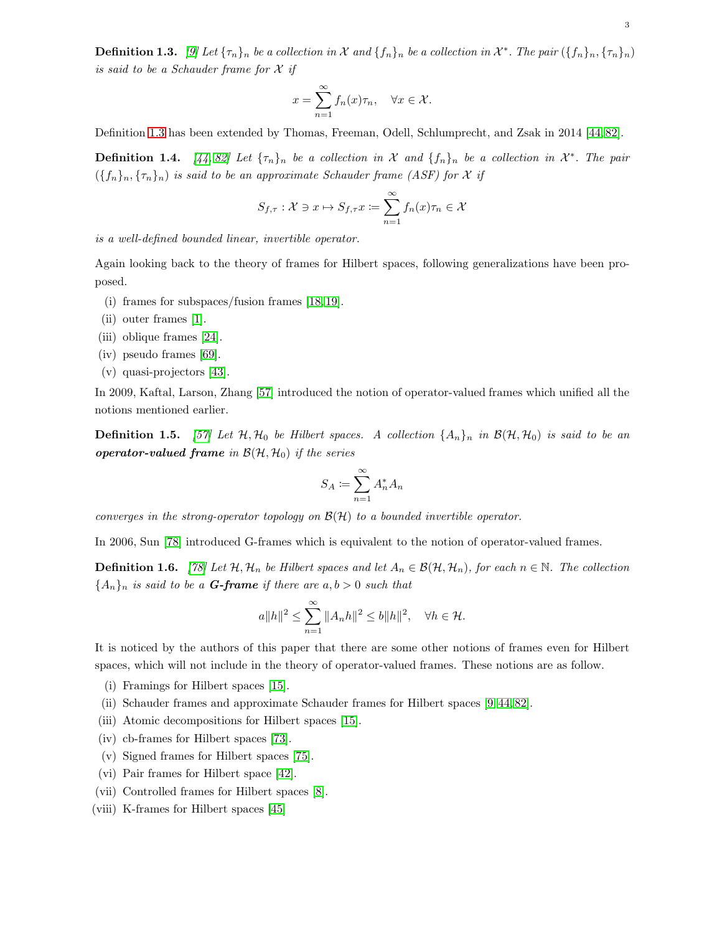<span id="page-2-0"></span>**Definition 1.3.** [\[9\]](#page-24-9) Let  $\{\tau_n\}_n$  be a collection in X and  $\{f_n\}_n$  be a collection in  $\mathcal{X}^*$ . The pair  $(\{f_n\}_n, \{\tau_n\}_n)$ is said to be a Schauder frame for  $\mathcal X$  if

$$
x = \sum_{n=1}^{\infty} f_n(x)\tau_n, \quad \forall x \in \mathcal{X}.
$$

Definition [1.3](#page-2-0) has been extended by Thomas, Freeman, Odell, Schlumprecht, and Zsak in 2014 [\[44,](#page-25-7) [82\]](#page-26-3).

**Definition 1.4.** [\[44,](#page-25-7) [82\]](#page-26-3) Let  $\{\tau_n\}_n$  be a collection in X and  $\{f_n\}_n$  be a collection in  $\mathcal{X}^*$ . The pair  $({f_n}_n, {f_n}_n)$  is said to be an approximate Schauder frame (ASF) for X if

$$
S_{f,\tau}: \mathcal{X} \ni x \mapsto S_{f,\tau} x := \sum_{n=1}^{\infty} f_n(x)\tau_n \in \mathcal{X}
$$

is a well-defined bounded linear, invertible operator.

Again looking back to the theory of frames for Hilbert spaces, following generalizations have been proposed.

- (i) frames for subspaces/fusion frames [\[18,](#page-24-10) [19\]](#page-24-11).
- (ii) outer frames [\[1\]](#page-23-3).
- (iii) oblique frames [\[24\]](#page-24-12).
- (iv) pseudo frames [\[69\]](#page-26-4).
- (v) quasi-projectors [\[43\]](#page-25-8).

In 2009, Kaftal, Larson, Zhang [\[57\]](#page-25-9) introduced the notion of operator-valued frames which unified all the notions mentioned earlier.

**Definition 1.5.** [\[57\]](#page-25-9) Let  $H$ ,  $H_0$  be Hilbert spaces. A collection  $\{A_n\}_n$  in  $\mathcal{B}(\mathcal{H}, \mathcal{H}_0)$  is said to be an operator-valued frame in  $\mathcal{B}(\mathcal{H}, \mathcal{H}_0)$  if the series

$$
S_A \coloneqq \sum_{n=1}^\infty A_n^* A_n
$$

converges in the strong-operator topology on  $\mathcal{B}(\mathcal{H})$  to a bounded invertible operator.

In 2006, Sun [\[78\]](#page-26-5) introduced G-frames which is equivalent to the notion of operator-valued frames.

**Definition 1.6.** [\[78\]](#page-26-5) Let  $\mathcal{H}, \mathcal{H}_n$  be Hilbert spaces and let  $A_n \in \mathcal{B}(\mathcal{H}, \mathcal{H}_n)$ , for each  $n \in \mathbb{N}$ . The collection  ${A_n}_n$  is said to be a **G-frame** if there are  $a, b > 0$  such that

$$
a||h||^2 \le \sum_{n=1}^{\infty} ||A_n h||^2 \le b||h||^2, \quad \forall h \in \mathcal{H}.
$$

It is noticed by the authors of this paper that there are some other notions of frames even for Hilbert spaces, which will not include in the theory of operator-valued frames. These notions are as follow.

- (i) Framings for Hilbert spaces [\[15\]](#page-24-3).
- (ii) Schauder frames and approximate Schauder frames for Hilbert spaces [\[9,](#page-24-9) [44,](#page-25-7) [82\]](#page-26-3).
- (iii) Atomic decompositions for Hilbert spaces [\[15\]](#page-24-3).
- (iv) cb-frames for Hilbert spaces [\[73\]](#page-26-6).
- (v) Signed frames for Hilbert spaces [\[75\]](#page-26-7).
- (vi) Pair frames for Hilbert space [\[42\]](#page-25-10).
- (vii) Controlled frames for Hilbert spaces [\[8\]](#page-23-4).
- (viii) K-frames for Hilbert spaces [\[45\]](#page-25-11)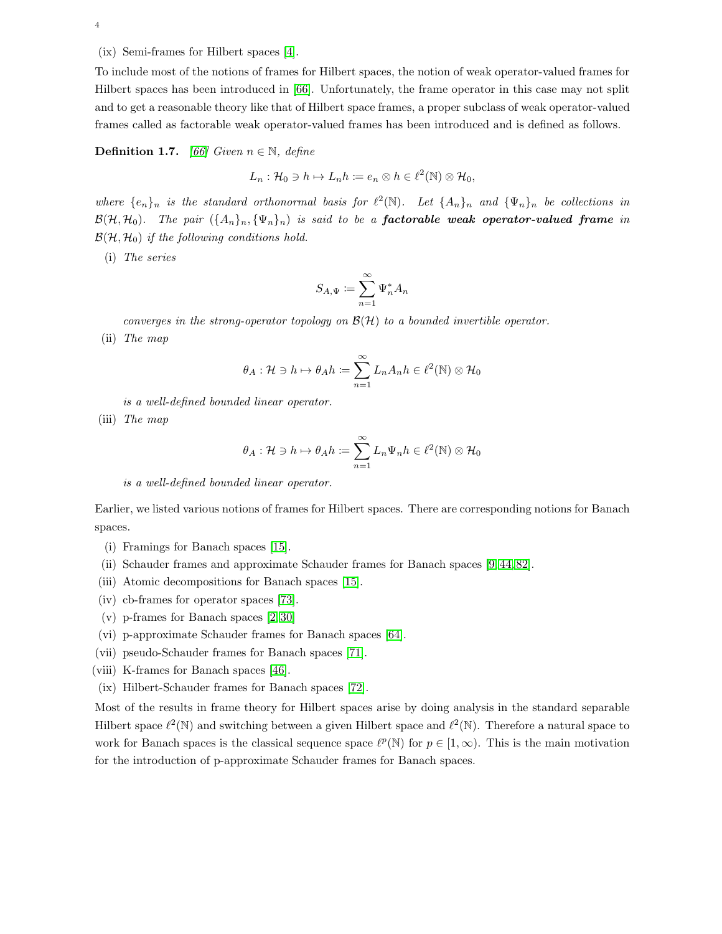4

(ix) Semi-frames for Hilbert spaces [\[4\]](#page-23-5).

To include most of the notions of frames for Hilbert spaces, the notion of weak operator-valued frames for Hilbert spaces has been introduced in [\[66\]](#page-26-8). Unfortunately, the frame operator in this case may not split and to get a reasonable theory like that of Hilbert space frames, a proper subclass of weak operator-valued frames called as factorable weak operator-valued frames has been introduced and is defined as follows.

**Definition 1.7.** [\[66\]](#page-26-8) Given  $n \in \mathbb{N}$ , define

$$
L_n: \mathcal{H}_0 \ni h \mapsto L_n h := e_n \otimes h \in \ell^2(\mathbb{N}) \otimes \mathcal{H}_0,
$$

where  $\{e_n\}_n$  is the standard orthonormal basis for  $\ell^2(\mathbb{N})$ . Let  $\{A_n\}_n$  and  $\{\Psi_n\}_n$  be collections in  $\mathcal{B}(\mathcal{H}, \mathcal{H}_0)$ . The pair  $(\{A_n\}_n, \{\Psi_n\}_n)$  is said to be a **factorable weak operator-valued frame** in  $\mathcal{B}(\mathcal{H}, \mathcal{H}_0)$  if the following conditions hold.

(i) The series

$$
S_{A,\Psi}:=\sum_{n=1}^\infty \Psi_n^*A_n
$$

converges in the strong-operator topology on  $\mathcal{B}(\mathcal{H})$  to a bounded invertible operator.

(ii) The map

$$
\theta_A: \mathcal{H} \ni h \mapsto \theta_A h \coloneqq \sum_{n=1}^{\infty} L_n A_n h \in \ell^2(\mathbb{N}) \otimes \mathcal{H}_0
$$

is a well-defined bounded linear operator.

(iii) The map

$$
\theta_A: \mathcal{H} \ni h \mapsto \theta_A h \coloneqq \sum_{n=1}^{\infty} L_n \Psi_n h \in \ell^2(\mathbb{N}) \otimes \mathcal{H}_0
$$

is a well-defined bounded linear operator.

Earlier, we listed various notions of frames for Hilbert spaces. There are corresponding notions for Banach spaces.

- (i) Framings for Banach spaces [\[15\]](#page-24-3).
- (ii) Schauder frames and approximate Schauder frames for Banach spaces [\[9,](#page-24-9) [44,](#page-25-7) [82\]](#page-26-3).
- (iii) Atomic decompositions for Banach spaces [\[15\]](#page-24-3).
- (iv) cb-frames for operator spaces [\[73\]](#page-26-6).
- (v) p-frames for Banach spaces [\[2,](#page-23-2) [30\]](#page-24-4)
- (vi) p-approximate Schauder frames for Banach spaces [\[64\]](#page-26-9).
- (vii) pseudo-Schauder frames for Banach spaces [\[71\]](#page-26-10).
- (viii) K-frames for Banach spaces [\[46\]](#page-25-12).
- (ix) Hilbert-Schauder frames for Banach spaces [\[72\]](#page-26-11).

Most of the results in frame theory for Hilbert spaces arise by doing analysis in the standard separable Hilbert space  $\ell^2(\mathbb{N})$  and switching between a given Hilbert space and  $\ell^2(\mathbb{N})$ . Therefore a natural space to work for Banach spaces is the classical sequence space  $\ell^p(\mathbb{N})$  for  $p \in [1,\infty)$ . This is the main motivation for the introduction of p-approximate Schauder frames for Banach spaces.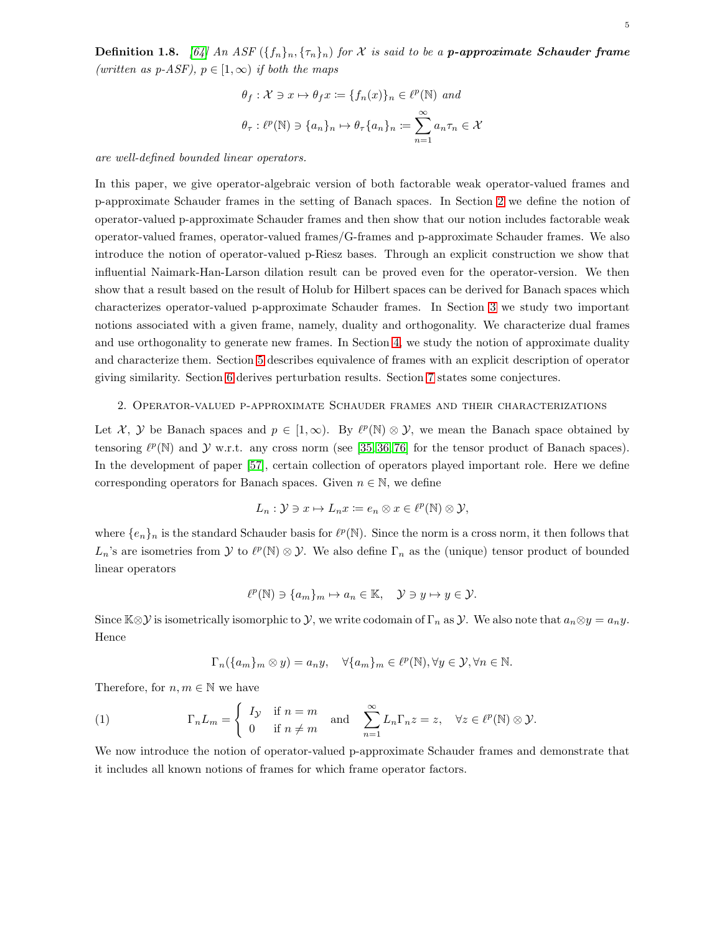**Definition 1.8.** [\[64\]](#page-26-9) An ASF  $({f_n}_n, {t_n}_n)$  for X is said to be a **p-approximate Schauder frame** (written as p-ASF),  $p \in [1,\infty)$  if both the maps

$$
\theta_f: \mathcal{X} \ni x \mapsto \theta_f x := \{f_n(x)\}_n \in \ell^p(\mathbb{N}) \text{ and}
$$

$$
\theta_\tau: \ell^p(\mathbb{N}) \ni \{a_n\}_n \mapsto \theta_\tau \{a_n\}_n := \sum_{n=1}^\infty a_n \tau_n \in \mathcal{X}
$$

are well-defined bounded linear operators.

In this paper, we give operator-algebraic version of both factorable weak operator-valued frames and p-approximate Schauder frames in the setting of Banach spaces. In Section [2](#page-4-0) we define the notion of operator-valued p-approximate Schauder frames and then show that our notion includes factorable weak operator-valued frames, operator-valued frames/G-frames and p-approximate Schauder frames. We also introduce the notion of operator-valued p-Riesz bases. Through an explicit construction we show that influential Naimark-Han-Larson dilation result can be proved even for the operator-version. We then show that a result based on the result of Holub for Hilbert spaces can be derived for Banach spaces which characterizes operator-valued p-approximate Schauder frames. In Section [3](#page-10-0) we study two important notions associated with a given frame, namely, duality and orthogonality. We characterize dual frames and use orthogonality to generate new frames. In Section [4,](#page-14-0) we study the notion of approximate duality and characterize them. Section [5](#page-18-0) describes equivalence of frames with an explicit description of operator giving similarity. Section [6](#page-20-0) derives perturbation results. Section [7](#page-22-0) states some conjectures.

# <span id="page-4-0"></span>2. Operator-valued p-approximate Schauder frames and their characterizations

Let X, Y be Banach spaces and  $p \in [1,\infty)$ . By  $\ell^p(\mathbb{N}) \otimes \mathcal{Y}$ , we mean the Banach space obtained by tensoring  $\ell^p(\mathbb{N})$  and  $\mathcal Y$  w.r.t. any cross norm (see [\[35,](#page-24-13) [36,](#page-25-13) [76\]](#page-26-12) for the tensor product of Banach spaces). In the development of paper [\[57\]](#page-25-9), certain collection of operators played important role. Here we define corresponding operators for Banach spaces. Given  $n \in \mathbb{N}$ , we define

$$
L_n: \mathcal{Y} \ni x \mapsto L_n x \coloneqq e_n \otimes x \in \ell^p(\mathbb{N}) \otimes \mathcal{Y},
$$

where  $\{e_n\}_n$  is the standard Schauder basis for  $\ell^p(\mathbb{N})$ . Since the norm is a cross norm, it then follows that  $L_n$ 's are isometries from  $\mathcal Y$  to  $\ell^p(\mathbb N) \otimes \mathcal Y$ . We also define  $\Gamma_n$  as the (unique) tensor product of bounded linear operators

$$
\ell^p(\mathbb{N}) \ni \{a_m\}_m \mapsto a_n \in \mathbb{K}, \quad \mathcal{Y} \ni y \mapsto y \in \mathcal{Y}.
$$

Since  $\mathbb{K}\otimes\mathcal{Y}$  is isometrically isomorphic to  $\mathcal{Y}$ , we write codomain of  $\Gamma_n$  as  $\mathcal{Y}$ . We also note that  $a_n\otimes y = a_ny$ . Hence

$$
\Gamma_n(\{a_m\}_m \otimes y) = a_n y, \quad \forall \{a_m\}_m \in \ell^p(\mathbb{N}), \forall y \in \mathcal{Y}, \forall n \in \mathbb{N}.
$$

Therefore, for  $n, m \in \mathbb{N}$  we have

<span id="page-4-1"></span>(1) 
$$
\Gamma_n L_m = \begin{cases} I_{\mathcal{Y}} & \text{if } n = m \\ 0 & \text{if } n \neq m \end{cases} \text{ and } \sum_{n=1}^{\infty} L_n \Gamma_n z = z, \quad \forall z \in \ell^p(\mathbb{N}) \otimes \mathcal{Y}.
$$

We now introduce the notion of operator-valued p-approximate Schauder frames and demonstrate that it includes all known notions of frames for which frame operator factors.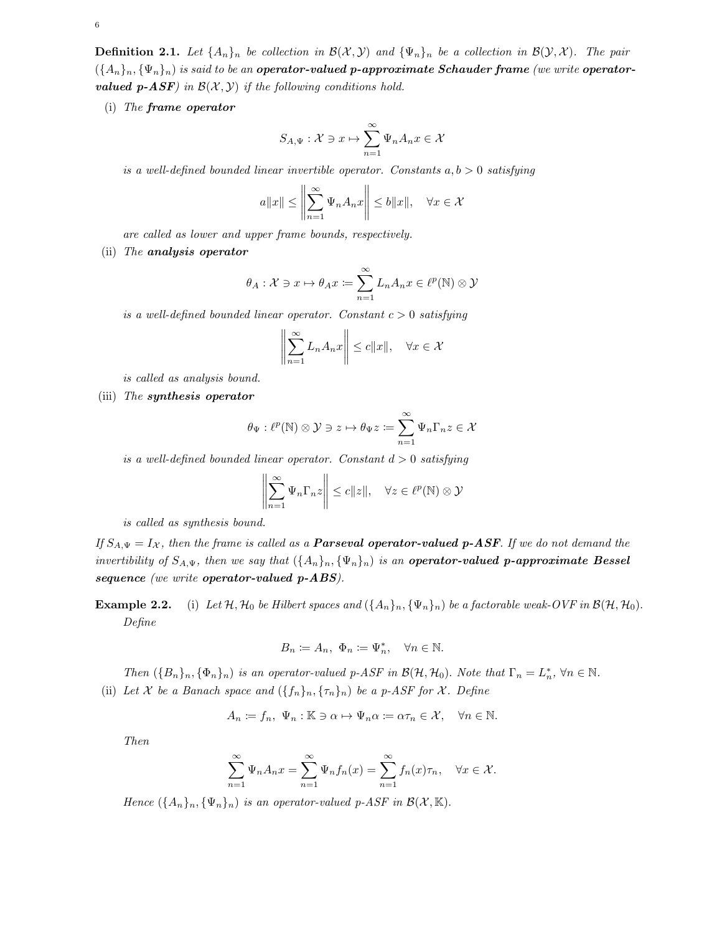**Definition 2.1.** Let  $\{A_n\}_n$  be collection in  $\mathcal{B}(\mathcal{X}, \mathcal{Y})$  and  $\{\Psi_n\}_n$  be a collection in  $\mathcal{B}(\mathcal{Y}, \mathcal{X})$ . The pair  $({A_n}_n, {(\Psi_n)}_n)$  is said to be an **operator-valued p-approximate Schauder frame** (we write **operatorvalued p-ASF**) in  $\mathcal{B}(\mathcal{X}, \mathcal{Y})$  if the following conditions hold.

(i) The frame operator

$$
S_{A,\Psi}: \mathcal{X} \ni x \mapsto \sum_{n=1}^{\infty} \Psi_n A_n x \in \mathcal{X}
$$

is a well-defined bounded linear invertible operator. Constants  $a, b > 0$  satisfying

$$
a||x|| \le \left\|\sum_{n=1}^{\infty} \Psi_n A_n x\right\| \le b||x||, \quad \forall x \in \mathcal{X}
$$

are called as lower and upper frame bounds, respectively.

(ii) The analysis operator

$$
\theta_A: \mathcal{X} \ni x \mapsto \theta_A x \coloneqq \sum_{n=1}^{\infty} L_n A_n x \in \ell^p(\mathbb{N}) \otimes \mathcal{Y}
$$

is a well-defined bounded linear operator. Constant  $c > 0$  satisfying

$$
\left\| \sum_{n=1}^{\infty} L_n A_n x \right\| \le c \|x\|, \quad \forall x \in \mathcal{X}
$$

is called as analysis bound.

(iii) The synthesis operator

$$
\theta_\Psi : \ell^p(\mathbb{N}) \otimes \mathcal{Y} \ni z \mapsto \theta_\Psi z \coloneqq \sum_{n=1}^\infty \Psi_n \Gamma_n z \in \mathcal{X}
$$

is a well-defined bounded linear operator. Constant  $d > 0$  satisfying

$$
\left\|\sum_{n=1}^{\infty} \Psi_n \Gamma_n z\right\| \le c \|z\|, \quad \forall z \in \ell^p(\mathbb{N}) \otimes \mathcal{Y}
$$

is called as synthesis bound.

If  $S_{A,\Psi} = I_{\mathcal{X}}$ , then the frame is called as a **Parseval operator-valued p-ASF**. If we do not demand the invertibility of  $S_{A,\Psi}$ , then we say that  $({A_n}_n, {\Psi_n}_n)$  is an **operator-valued p-approximate Bessel** sequence (we write operator-valued p-ABS).

**Example 2.2.** (i) Let  $H$ ,  $H_0$  be Hilbert spaces and  $(\{A_n\}_n, \{\Psi_n\}_n)$  be a factorable weak-OVF in  $\mathcal{B}(\mathcal{H}, \mathcal{H}_0)$ . Define

$$
B_n \coloneqq A_n, \ \Phi_n \coloneqq \Psi_n^*, \quad \forall n \in \mathbb{N}.
$$

Then  $(\{B_n\}_n, \{\Phi_n\}_n)$  is an operator-valued p-ASF in  $\mathcal{B}(\mathcal{H}, \mathcal{H}_0)$ . Note that  $\Gamma_n = L_n^*$ ,  $\forall n \in \mathbb{N}$ . (ii) Let X be a Banach space and  $({f_n}_n, { {\tau_n}}_n)$  be a p-ASF for X. Define

$$
A_n \coloneqq f_n, \ \Psi_n : \mathbb{K} \ni \alpha \mapsto \Psi_n \alpha \coloneqq \alpha \tau_n \in \mathcal{X}, \quad \forall n \in \mathbb{N}.
$$

Then

$$
\sum_{n=1}^{\infty} \Psi_n A_n x = \sum_{n=1}^{\infty} \Psi_n f_n(x) = \sum_{n=1}^{\infty} f_n(x) \tau_n, \quad \forall x \in \mathcal{X}.
$$

Hence  $({A_n}_n, {\Psi_n}_n)$  is an operator-valued p-ASF in  $\mathcal{B}(\mathcal{X}, \mathbb{K})$ .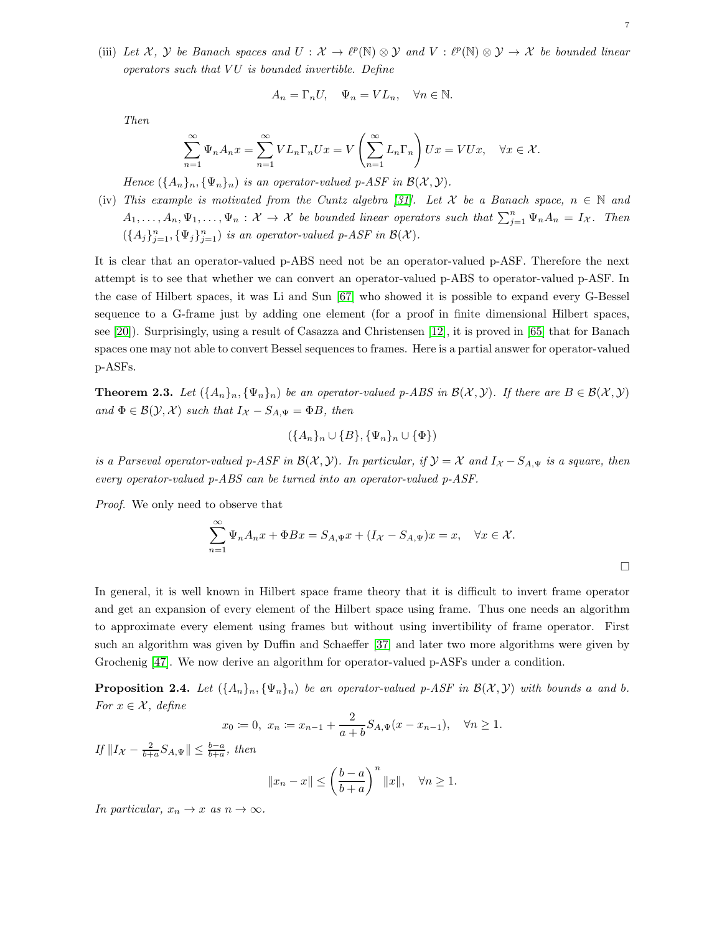(iii) Let X, Y be Banach spaces and  $U: X \to \ell^p(\mathbb{N}) \otimes Y$  and  $V: \ell^p(\mathbb{N}) \otimes Y \to X$  be bounded linear  $operators \; such \; that \; VU \; \; is \; bounded \; invertible. \; Define$ 

$$
A_n = \Gamma_n U, \quad \Psi_n = V L_n, \quad \forall n \in \mathbb{N}.
$$

Then

$$
\sum_{n=1}^{\infty} \Psi_n A_n x = \sum_{n=1}^{\infty} V L_n \Gamma_n U x = V \left( \sum_{n=1}^{\infty} L_n \Gamma_n \right) U x = V U x, \quad \forall x \in \mathcal{X}.
$$

Hence  $({A_n}_n, {\Psi_n}_n)$  is an operator-valued p-ASF in  $\mathcal{B}(\mathcal{X}, \mathcal{Y})$ .

(iv) This example is motivated from the Cuntz algebra [\[31\]](#page-24-14). Let X be a Banach space,  $n \in \mathbb{N}$  and  $A_1, \ldots, A_n, \Psi_1, \ldots, \Psi_n : \mathcal{X} \to \mathcal{X}$  be bounded linear operators such that  $\sum_{j=1}^n \Psi_n A_n = I_{\mathcal{X}}$ . Then  $(\{A_j\}_{j=1}^n, {\{\Psi_j\}_{j=1}^n})$  is an operator-valued p-ASF in  $\mathcal{B}(\mathcal{X})$ .

It is clear that an operator-valued p-ABS need not be an operator-valued p-ASF. Therefore the next attempt is to see that whether we can convert an operator-valued p-ABS to operator-valued p-ASF. In the case of Hilbert spaces, it was Li and Sun [\[67\]](#page-26-13) who showed it is possible to expand every G-Bessel sequence to a G-frame just by adding one element (for a proof in finite dimensional Hilbert spaces, see [\[20\]](#page-24-15)). Surprisingly, using a result of Casazza and Christensen [\[12\]](#page-24-6), it is proved in [\[65\]](#page-26-14) that for Banach spaces one may not able to convert Bessel sequences to frames. Here is a partial answer for operator-valued p-ASFs.

**Theorem 2.3.** Let  $({A_n}_n, {(\Psi_n)_n})$  be an operator-valued p-ABS in  $\mathcal{B}(\mathcal{X}, \mathcal{Y})$ . If there are  $B \in \mathcal{B}(\mathcal{X}, \mathcal{Y})$ and  $\Phi \in \mathcal{B}(\mathcal{Y}, \mathcal{X})$  such that  $I_{\mathcal{X}} - S_{A,\Psi} = \Phi B$ , then

$$
(\{A_n\}_n \cup \{B\}, \{\Psi_n\}_n \cup \{\Phi\})
$$

is a Parseval operator-valued p-ASF in  $\mathcal{B}(\mathcal{X}, \mathcal{Y})$ . In particular, if  $\mathcal{Y} = \mathcal{X}$  and  $I_{\mathcal{X}} - S_{A,\Psi}$  is a square, then every operator-valued p-ABS can be turned into an operator-valued p-ASF.

Proof. We only need to observe that

$$
\sum_{n=1}^{\infty} \Psi_n A_n x + \Phi B x = S_{A,\Psi} x + (I_{\mathcal{X}} - S_{A,\Psi}) x = x, \quad \forall x \in \mathcal{X}.
$$

In general, it is well known in Hilbert space frame theory that it is difficult to invert frame operator and get an expansion of every element of the Hilbert space using frame. Thus one needs an algorithm to approximate every element using frames but without using invertibility of frame operator. First such an algorithm was given by Duffin and Schaeffer [\[37\]](#page-25-0) and later two more algorithms were given by Grochenig [\[47\]](#page-25-14). We now derive an algorithm for operator-valued p-ASFs under a condition.

**Proposition 2.4.** Let  $(\{A_n\}_n, \{\Psi_n\}_n)$  be an operator-valued p-ASF in  $\mathcal{B}(\mathcal{X}, \mathcal{Y})$  with bounds a and b. For  $x \in \mathcal{X}$ , define

$$
x_0 := 0, \ x_n := x_{n-1} + \frac{2}{a+b} S_{A,\Psi}(x - x_{n-1}), \quad \forall n \ge 1.
$$

If  $||I_{\mathcal{X}} - \frac{2}{b+a}S_{A,\Psi}|| \leq \frac{b-a}{b+a}$ , then

$$
||x_n - x|| \le \left(\frac{b-a}{b+a}\right)^n ||x||, \quad \forall n \ge 1.
$$

In particular,  $x_n \to x$  as  $n \to \infty$ .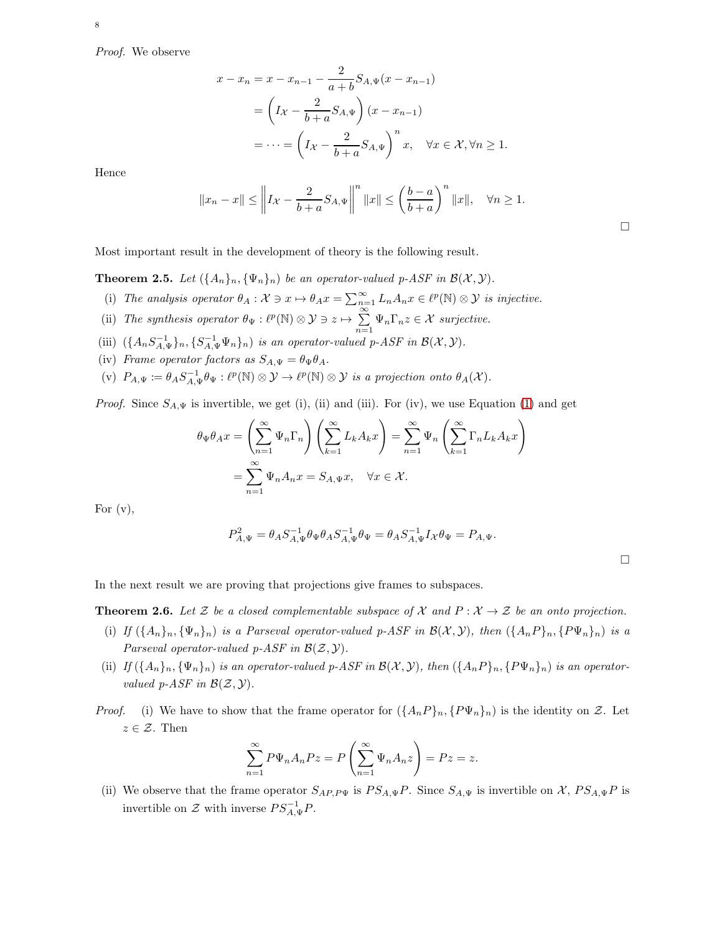Proof. We observe

$$
x - x_n = x - x_{n-1} - \frac{2}{a+b} S_{A,\Psi}(x - x_{n-1})
$$
  
= 
$$
\left(I_X - \frac{2}{b+a} S_{A,\Psi}\right)(x - x_{n-1})
$$
  
= 
$$
\cdots = \left(I_X - \frac{2}{b+a} S_{A,\Psi}\right)^n x, \quad \forall x \in \mathcal{X}, \forall n \ge 1.
$$

Hence

$$
||x_n - x|| \le ||I_{\mathcal{X}} - \frac{2}{b+a} S_{A,\Psi}||^{n} ||x|| \le \left(\frac{b-a}{b+a}\right)^{n} ||x||, \quad \forall n \ge 1.
$$

Most important result in the development of theory is the following result.

<span id="page-7-1"></span>**Theorem 2.5.** Let  $(\{A_n\}_n, \{\Psi_n\}_n)$  be an operator-valued p-ASF in  $\mathcal{B}(\mathcal{X}, \mathcal{Y})$ .

- (i) The analysis operator  $\theta_A : \mathcal{X} \ni x \mapsto \theta_A x = \sum_{n=1}^{\infty} L_n A_n x \in \ell^p(\mathbb{N}) \otimes \mathcal{Y}$  is injective.
- (ii) The synthesis operator  $\theta_{\Psi} : \ell^p(\mathbb{N}) \otimes \mathcal{Y} \ni z \mapsto \sum_{n=1}^{\infty} \Psi_n \Gamma_n z \in \mathcal{X}$  surjective.
- (iii)  $(\{A_n S_{A,\Psi}^{-1}\}_n, \{S_{A,\Psi}^{-1}\Psi_n\}_n)$  is an operator-valued p-ASF in  $\mathcal{B}(\mathcal{X}, \mathcal{Y})$ .
- (iv) Frame operator factors as  $S_{A,\Psi} = \theta_{\Psi} \theta_A$ .
- (v)  $P_{A,\Psi} \coloneqq \theta_A S_{A,\Psi}^{-1} \theta_{\Psi} : \ell^p(\mathbb{N}) \otimes \mathcal{Y} \to \ell^p(\mathbb{N}) \otimes \mathcal{Y}$  is a projection onto  $\theta_A(\mathcal{X})$ .

*Proof.* Since  $S_{A,\Psi}$  is invertible, we get (i), (ii) and (iii). For (iv), we use Equation [\(1\)](#page-4-1) and get

$$
\theta_{\Psi}\theta_{A}x = \left(\sum_{n=1}^{\infty} \Psi_{n}\Gamma_{n}\right)\left(\sum_{k=1}^{\infty} L_{k}A_{k}x\right) = \sum_{n=1}^{\infty} \Psi_{n}\left(\sum_{k=1}^{\infty} \Gamma_{n}L_{k}A_{k}x\right)
$$

$$
= \sum_{n=1}^{\infty} \Psi_{n}A_{n}x = S_{A,\Psi}x, \quad \forall x \in \mathcal{X}.
$$

For  $(v)$ ,

$$
P_{A,\Psi}^2 = \theta_A S_{A,\Psi}^{-1} \theta_\Psi \theta_A S_{A,\Psi}^{-1} \theta_\Psi = \theta_A S_{A,\Psi}^{-1} I_\mathcal{X} \theta_\Psi = P_{A,\Psi}.
$$

In the next result we are proving that projections give frames to subspaces.

<span id="page-7-0"></span>**Theorem 2.6.** Let Z be a closed complementable subspace of X and  $P: X \to Z$  be an onto projection.

- (i) If  $(\{A_n\}_n, \{\Psi_n\}_n)$  is a Parseval operator-valued p-ASF in  $\mathcal{B}(\mathcal{X}, \mathcal{Y})$ , then  $(\{A_nP\}_n, \{P\Psi_n\}_n)$  is a Parseval operator-valued p-ASF in  $\mathcal{B}(\mathcal{Z}, \mathcal{Y})$ .
- (ii) If  $(\{A_n\}_n, \{\Psi_n\}_n)$  is an operator-valued p-ASF in  $\mathcal{B}(\mathcal{X}, \mathcal{Y})$ , then  $(\{A_nP\}_n, \{P\Psi_n\}_n)$  is an operatorvalued p-ASF in  $\mathcal{B}(\mathcal{Z}, \mathcal{Y})$ .
- *Proof.* (i) We have to show that the frame operator for  $({A_nP}_n, {P\Psi_n}_n)$  is the identity on Z. Let  $z \in \mathcal{Z}$ . Then

$$
\sum_{n=1}^{\infty} P\Psi_n A_n P z = P\left(\sum_{n=1}^{\infty} \Psi_n A_n z\right) = P z = z.
$$

(ii) We observe that the frame operator  $S_{AP,P\Psi}$  is  $PS_{A,\Psi}P$ . Since  $S_{A,\Psi}$  is invertible on X,  $PS_{A,\Psi}P$  is invertible on  $\mathcal Z$  with inverse  $PS_{A,\Psi}^{-1}P$ .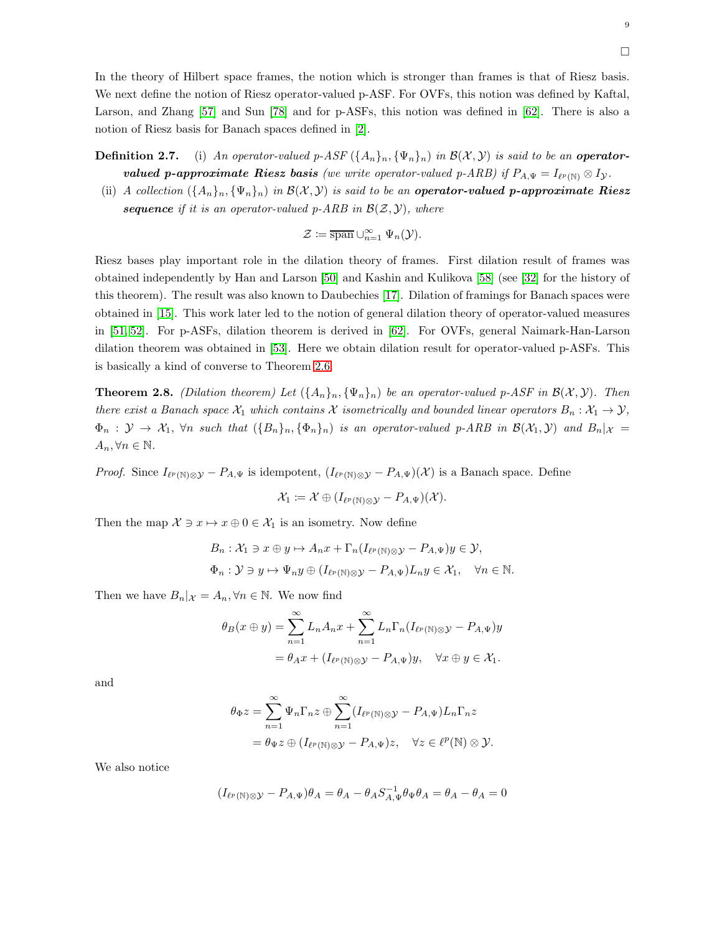In the theory of Hilbert space frames, the notion which is stronger than frames is that of Riesz basis. We next define the notion of Riesz operator-valued p-ASF. For OVFs, this notion was defined by Kaftal, Larson, and Zhang [\[57\]](#page-25-9) and Sun [\[78\]](#page-26-5) and for p-ASFs, this notion was defined in [\[62\]](#page-25-15). There is also a notion of Riesz basis for Banach spaces defined in [\[2\]](#page-23-2).

**Definition 2.7.** (i) An operator-valued p-ASF  $(\{A_n\}_n, \{\Psi_n\}_n)$  in  $\mathcal{B}(\mathcal{X}, \mathcal{Y})$  is said to be an operator**valued p-approximate Riesz basis** (we write operator-valued p-ARB) if  $P_{A,\Psi} = I_{\ell^p(\mathbb{N})} \otimes I_{\mathcal{Y}}$ .

(ii) A collection  $(\{A_n\}_n, \{\Psi_n\}_n)$  in  $\mathcal{B}(\mathcal{X}, \mathcal{Y})$  is said to be an **operator-valued p-approximate Riesz** sequence if it is an operator-valued p-ARB in  $\mathcal{B}(\mathcal{Z}, \mathcal{Y})$ , where

$$
\mathcal{Z} \coloneqq \overline{\operatorname{span}} \cup_{n=1}^{\infty} \Psi_n(\mathcal{Y}).
$$

Riesz bases play important role in the dilation theory of frames. First dilation result of frames was obtained independently by Han and Larson [\[50\]](#page-25-5) and Kashin and Kulikova [\[58\]](#page-25-6) (see [\[32\]](#page-24-7) for the history of this theorem). The result was also known to Daubechies [\[17\]](#page-24-16). Dilation of framings for Banach spaces were obtained in [\[15\]](#page-24-3). This work later led to the notion of general dilation theory of operator-valued measures in [\[51,](#page-25-16) [52\]](#page-25-17). For p-ASFs, dilation theorem is derived in [\[62\]](#page-25-15). For OVFs, general Naimark-Han-Larson dilation theorem was obtained in [\[53\]](#page-25-18). Here we obtain dilation result for operator-valued p-ASFs. This is basically a kind of converse to Theorem [2.6.](#page-7-0)

**Theorem 2.8.** (Dilation theorem) Let  $({A_n})_n, {(\Psi_n)}_n$  be an operator-valued p-ASF in  $\mathcal{B}(\mathcal{X}, \mathcal{Y})$ . Then there exist a Banach space  $\mathcal{X}_1$  which contains X isometrically and bounded linear operators  $B_n: \mathcal{X}_1 \to \mathcal{Y}$ ,  $\Phi_n$  :  $\mathcal{Y} \to \mathcal{X}_1$ ,  $\forall n$  such that  $(\{B_n\}_n, \{\Phi_n\}_n)$  is an operator-valued p-ARB in  $\mathcal{B}(\mathcal{X}_1, \mathcal{Y})$  and  $B_n|_{\mathcal{X}} =$  $A_n, \forall n \in \mathbb{N}$ .

*Proof.* Since  $I_{\ell^p(\mathbb{N})\otimes\mathcal{Y}} - P_{A,\Psi}$  is idempotent,  $(I_{\ell^p(\mathbb{N})\otimes\mathcal{Y}} - P_{A,\Psi})(\mathcal{X})$  is a Banach space. Define

$$
\mathcal{X}_1 \coloneqq \mathcal{X} \oplus (I_{\ell^p(\mathbb{N}) \otimes \mathcal{Y}} - P_{A,\Psi})(\mathcal{X}).
$$

Then the map  $\mathcal{X} \ni x \mapsto x \oplus 0 \in \mathcal{X}_1$  is an isometry. Now define

$$
B_n: \mathcal{X}_1 \ni x \oplus y \mapsto A_n x + \Gamma_n (I_{\ell^p(\mathbb{N}) \otimes \mathcal{Y}} - P_{A,\Psi}) y \in \mathcal{Y},
$$
  

$$
\Phi_n: \mathcal{Y} \ni y \mapsto \Psi_n y \oplus (I_{\ell^p(\mathbb{N}) \otimes \mathcal{Y}} - P_{A,\Psi}) L_n y \in \mathcal{X}_1, \quad \forall n \in \mathbb{N}.
$$

Then we have  $B_n|x = A_n, \forall n \in \mathbb{N}$ . We now find

$$
\theta_B(x \oplus y) = \sum_{n=1}^{\infty} L_n A_n x + \sum_{n=1}^{\infty} L_n \Gamma_n (I_{\ell^p(\mathbb{N}) \otimes y} - P_{A,\Psi}) y
$$
  
=  $\theta_A x + (I_{\ell^p(\mathbb{N}) \otimes y} - P_{A,\Psi}) y, \quad \forall x \oplus y \in \mathcal{X}_1.$ 

and

$$
\theta_{\Phi} z = \sum_{n=1}^{\infty} \Psi_n \Gamma_n z \oplus \sum_{n=1}^{\infty} (I_{\ell^p(\mathbb{N}) \otimes \mathcal{Y}} - P_{A,\Psi}) L_n \Gamma_n z
$$
  
=  $\theta_{\Psi} z \oplus (I_{\ell^p(\mathbb{N}) \otimes \mathcal{Y}} - P_{A,\Psi}) z, \quad \forall z \in \ell^p(\mathbb{N}) \otimes \mathcal{Y}.$ 

We also notice

$$
(I_{\ell^p(\mathbb{N})\otimes\mathcal{Y}} - P_{A,\Psi})\theta_A = \theta_A - \theta_A S_{A,\Psi}^{-1} \theta_\Psi \theta_A = \theta_A - \theta_A = 0
$$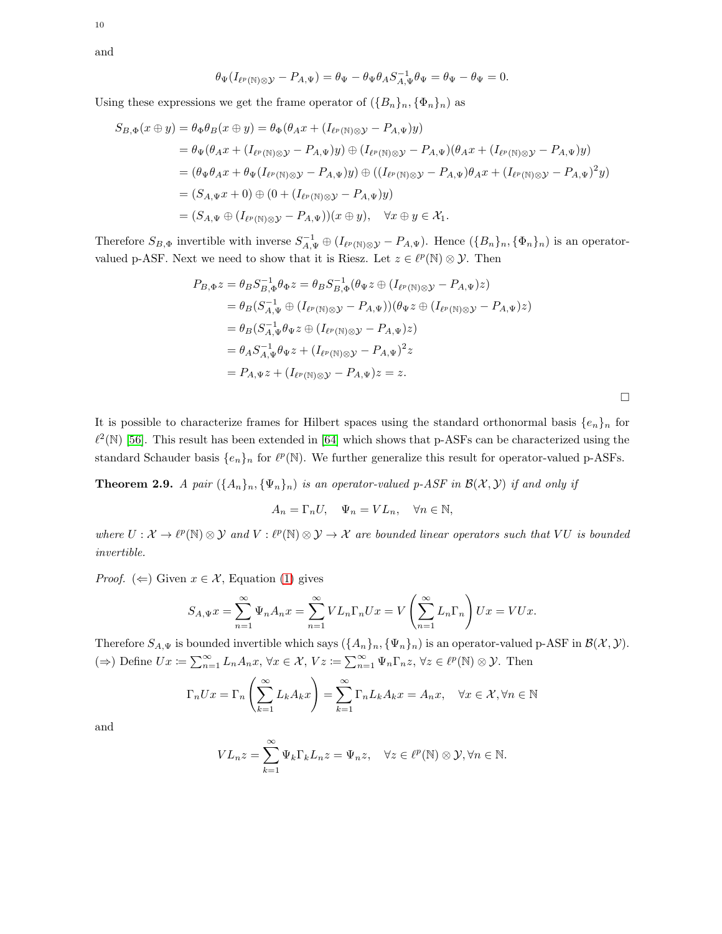and

10

$$
\theta_{\Psi}(I_{\ell^p(\mathbb{N})\otimes\mathcal{Y}}-P_{A,\Psi})=\theta_{\Psi}-\theta_{\Psi}\theta_AS_{A,\Psi}^{-1}\theta_{\Psi}=\theta_{\Psi}-\theta_{\Psi}=0.
$$

Using these expressions we get the frame operator of  $({B_n}_n, {\Phi_n}_n)$  as

$$
S_{B,\Phi}(x \oplus y) = \theta_{\Phi}\theta_{B}(x \oplus y) = \theta_{\Phi}(\theta_{A}x + (I_{\ell^{p}(\mathbb{N})\otimes y} - P_{A,\Psi})y)
$$
  
\n
$$
= \theta_{\Psi}(\theta_{A}x + (I_{\ell^{p}(\mathbb{N})\otimes y} - P_{A,\Psi})y) \oplus (I_{\ell^{p}(\mathbb{N})\otimes y} - P_{A,\Psi})(\theta_{A}x + (I_{\ell^{p}(\mathbb{N})\otimes y} - P_{A,\Psi})y)
$$
  
\n
$$
= (\theta_{\Psi}\theta_{A}x + \theta_{\Psi}(I_{\ell^{p}(\mathbb{N})\otimes y} - P_{A,\Psi})y) \oplus ((I_{\ell^{p}(\mathbb{N})\otimes y} - P_{A,\Psi})\theta_{A}x + (I_{\ell^{p}(\mathbb{N})\otimes y} - P_{A,\Psi})^{2}y)
$$
  
\n
$$
= (S_{A,\Psi}x + 0) \oplus (0 + (I_{\ell^{p}(\mathbb{N})\otimes y} - P_{A,\Psi})y)
$$
  
\n
$$
= (S_{A,\Psi} \oplus (I_{\ell^{p}(\mathbb{N})\otimes y} - P_{A,\Psi}))(x \oplus y), \quad \forall x \oplus y \in \mathcal{X}_{1}.
$$

Therefore  $S_{B,\Phi}$  invertible with inverse  $S_{A,\Psi}^{-1} \oplus (I_{\ell^p(\mathbb{N})\otimes \mathcal{Y}} - P_{A,\Psi})$ . Hence  $(\{B_n\}_n, \{\Phi_n\}_n)$  is an operatorvalued p-ASF. Next we need to show that it is Riesz. Let  $z \in \ell^p(\mathbb{N}) \otimes \mathcal{Y}$ . Then

$$
P_{B,\Phi}z = \theta_B S_{B,\Phi}^{-1} \theta_{\Phi} z = \theta_B S_{B,\Phi}^{-1} (\theta_{\Psi} z \oplus (I_{\ell^p(\mathbb{N}) \otimes \mathcal{Y}} - P_{A,\Psi})z)
$$
  
=  $\theta_B (S_{A,\Psi}^{-1} \oplus (I_{\ell^p(\mathbb{N}) \otimes \mathcal{Y}} - P_{A,\Psi})) (\theta_{\Psi} z \oplus (I_{\ell^p(\mathbb{N}) \otimes \mathcal{Y}} - P_{A,\Psi})z)$   
=  $\theta_B (S_{A,\Psi}^{-1} \theta_{\Psi} z \oplus (I_{\ell^p(\mathbb{N}) \otimes \mathcal{Y}} - P_{A,\Psi})z)$   
=  $\theta_A S_{A,\Psi}^{-1} \theta_{\Psi} z + (I_{\ell^p(\mathbb{N}) \otimes \mathcal{Y}} - P_{A,\Psi})^2 z$   
=  $P_{A,\Psi} z + (I_{\ell^p(\mathbb{N}) \otimes \mathcal{Y}} - P_{A,\Psi})z = z.$ 

 $\Box$ 

It is possible to characterize frames for Hilbert spaces using the standard orthonormal basis  $\{e_n\}_n$  for  $\ell^2(\mathbb{N})$  [\[56\]](#page-25-19). This result has been extended in [\[64\]](#page-26-9) which shows that p-ASFs can be characterized using the standard Schauder basis  $\{e_n\}_n$  for  $\ell^p(\mathbb{N})$ . We further generalize this result for operator-valued p-ASFs.

**Theorem 2.9.** A pair  $(\{A_n\}_n, \{\Psi_n\}_n)$  is an operator-valued p-ASF in  $\mathcal{B}(\mathcal{X}, \mathcal{Y})$  if and only if

$$
A_n = \Gamma_n U, \quad \Psi_n = V L_n, \quad \forall n \in \mathbb{N},
$$

where  $U: \mathcal{X} \to \ell^p(\mathbb{N}) \otimes \mathcal{Y}$  and  $V: \ell^p(\mathbb{N}) \otimes \mathcal{Y} \to \mathcal{X}$  are bounded linear operators such that VU is bounded invertible.

*Proof.* ( $\Leftarrow$ ) Given  $x \in \mathcal{X}$ , Equation [\(1\)](#page-4-1) gives

$$
S_{A,\Psi}x = \sum_{n=1}^{\infty} \Psi_n A_n x = \sum_{n=1}^{\infty} V L_n \Gamma_n U x = V \left( \sum_{n=1}^{\infty} L_n \Gamma_n \right) U x = V U x.
$$

Therefore  $S_{A,\Psi}$  is bounded invertible which says  $(\{A_n\}_n, \{\Psi_n\}_n)$  is an operator-valued p-ASF in  $\mathcal{B}(\mathcal{X}, \mathcal{Y})$ . ( $\Rightarrow$ ) Define  $Ux \coloneqq \sum_{n=1}^{\infty} L_n A_n x$ ,  $\forall x \in \mathcal{X}, Vz \coloneqq \sum_{n=1}^{\infty} \Psi_n \Gamma_n z$ ,  $\forall z \in \ell^p(\mathbb{N}) \otimes \mathcal{Y}$ . Then

$$
\Gamma_n U x = \Gamma_n \left( \sum_{k=1}^{\infty} L_k A_k x \right) = \sum_{k=1}^{\infty} \Gamma_n L_k A_k x = A_n x, \quad \forall x \in \mathcal{X}, \forall n \in \mathbb{N}
$$

and

$$
VL_n z = \sum_{k=1}^{\infty} \Psi_k \Gamma_k L_n z = \Psi_n z, \quad \forall z \in \ell^p(\mathbb{N}) \otimes \mathcal{Y}, \forall n \in \mathbb{N}.
$$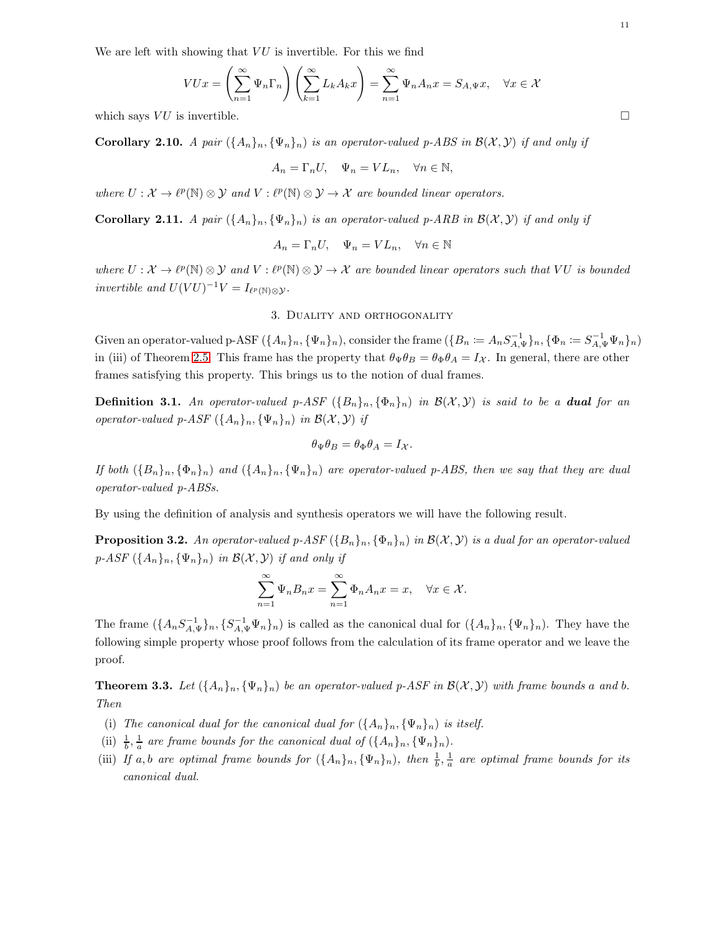We are left with showing that  $VU$  is invertible. For this we find

$$
VUx = \left(\sum_{n=1}^{\infty} \Psi_n \Gamma_n \right) \left(\sum_{k=1}^{\infty} L_k A_k x \right) = \sum_{n=1}^{\infty} \Psi_n A_n x = S_{A, \Psi} x, \quad \forall x \in \mathcal{X}
$$

which says VU is invertible.

**Corollary 2.10.** A pair  $(\{A_n\}_n, \{\Psi_n\}_n)$  is an operator-valued p-ABS in  $\mathcal{B}(\mathcal{X}, \mathcal{Y})$  if and only if

$$
A_n = \Gamma_n U, \quad \Psi_n = V L_n, \quad \forall n \in \mathbb{N},
$$

where  $U: \mathcal{X} \to \ell^p(\mathbb{N}) \otimes \mathcal{Y}$  and  $V: \ell^p(\mathbb{N}) \otimes \mathcal{Y} \to \mathcal{X}$  are bounded linear operators.

Corollary 2.11. A pair  $(\{A_n\}_n, \{\Psi_n\}_n)$  is an operator-valued p-ARB in  $\mathcal{B}(\mathcal{X}, \mathcal{Y})$  if and only if

$$
A_n = \Gamma_n U, \quad \Psi_n = V L_n, \quad \forall n \in \mathbb{N}
$$

<span id="page-10-0"></span>where  $U: \mathcal{X} \to \ell^p(\mathbb{N}) \otimes \mathcal{Y}$  and  $V: \ell^p(\mathbb{N}) \otimes \mathcal{Y} \to \mathcal{X}$  are bounded linear operators such that VU is bounded invertible and  $U(VU)^{-1}V = I_{\ell^p(\mathbb{N})\otimes\mathcal{Y}}$ .

#### 3. Duality and orthogonality

Given an operator-valued p-ASF  $(\{A_n\}_n, \{\Psi_n\}_n)$ , consider the frame  $(\{B_n \coloneqq A_n S_{A,\Psi}^{-1}\}_n, \{\Phi_n \coloneqq S_{A,\Psi}^{-1}\Psi_n\}_n)$ in (iii) of Theorem [2.5.](#page-7-1) This frame has the property that  $\theta_{\Psi}\theta_B = \theta_{\Phi}\theta_A = I_{\mathcal{X}}$ . In general, there are other frames satisfying this property. This brings us to the notion of dual frames.

<span id="page-10-1"></span>**Definition 3.1.** An operator-valued p-ASF  $(\{B_n\}_n, \{\Phi_n\}_n)$  in  $\mathcal{B}(\mathcal{X}, \mathcal{Y})$  is said to be a **dual** for an operator-valued p-ASF  $({A_n}_n, {\Psi_n}_n)$  in  $\mathcal{B}(\mathcal{X}, \mathcal{Y})$  if

$$
\theta_{\Psi}\theta_B = \theta_{\Phi}\theta_A = I_{\mathcal{X}}.
$$

If both  $(\{B_n\}_n, \{\Phi_n\}_n)$  and  $(\{A_n\}_n, \{\Psi_n\}_n)$  are operator-valued p-ABS, then we say that they are dual operator-valued p-ABSs.

By using the definition of analysis and synthesis operators we will have the following result.

<span id="page-10-2"></span>**Proposition 3.2.** An operator-valued p-ASF  $(\{B_n\}_n, \{\Phi_n\}_n)$  in  $\mathcal{B}(\mathcal{X}, \mathcal{Y})$  is a dual for an operator-valued  $p\text{-}ASF\left(\{A_n\}_n,\{\Psi_n\}_n\right)$  in  $\mathcal{B}(\mathcal{X},\mathcal{Y})$  if and only if

$$
\sum_{n=1}^{\infty} \Psi_n B_n x = \sum_{n=1}^{\infty} \Phi_n A_n x = x, \quad \forall x \in \mathcal{X}.
$$

The frame  $(\{A_nS_{A,\Psi}^{-1}\}_n, \{S_{A,\Psi}^{-1}\Psi_n\}_n)$  is called as the canonical dual for  $(\{A_n\}_n, \{\Psi_n\}_n)$ . They have the following simple property whose proof follows from the calculation of its frame operator and we leave the proof.

**Theorem 3.3.** Let  $({A_n}_n)_{n}, ({\Psi}_n)_n$  be an operator-valued p-ASF in  $\mathcal{B}(\mathcal{X}, \mathcal{Y})$  with frame bounds a and b. Then

- (i) The canonical dual for the canonical dual for  $(\{A_n\}_n, \{\Psi_n\}_n)$  is itself.
- (ii)  $\frac{1}{b}$ ,  $\frac{1}{a}$  are frame bounds for the canonical dual of  $({A_n})_n, {\Psi_n})_n$ .
- (iii) If a, b are optimal frame bounds for  $(\{A_n\}_n, \{\Psi_n\}_n)$ , then  $\frac{1}{b}$ ,  $\frac{1}{a}$  are optimal frame bounds for its canonical dual.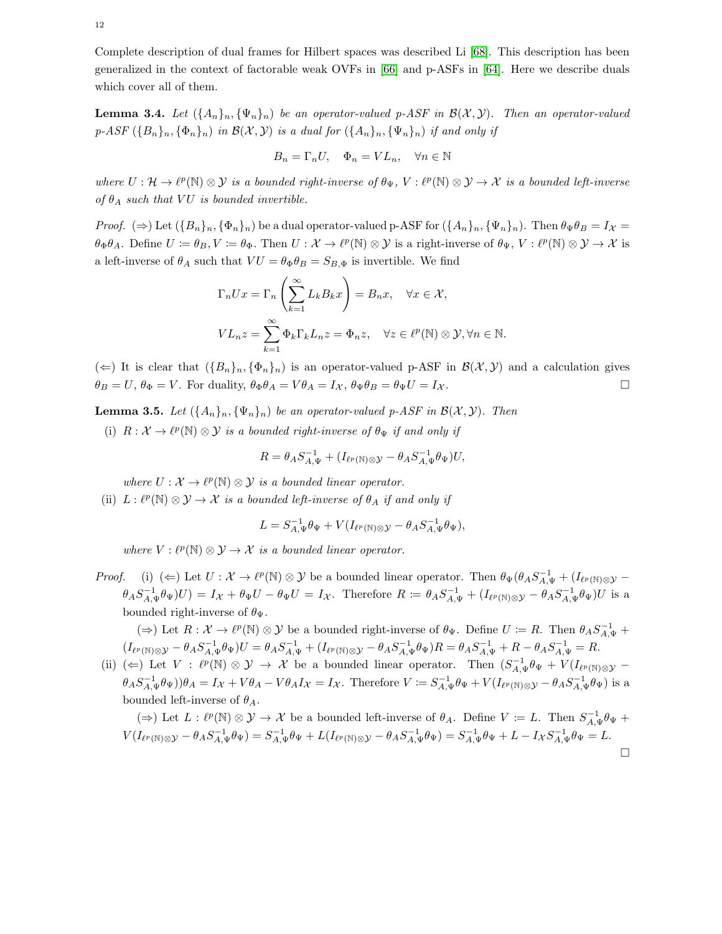Complete description of dual frames for Hilbert spaces was described Li [\[68\]](#page-26-15). This description has been generalized in the context of factorable weak OVFs in [\[66\]](#page-26-8) and p-ASFs in [\[64\]](#page-26-9). Here we describe duals which cover all of them.

<span id="page-11-0"></span>**Lemma 3.4.** Let  $(\{A_n\}_n, \{\Psi_n\}_n)$  be an operator-valued p-ASF in  $\mathcal{B}(\mathcal{X}, \mathcal{Y})$ . Then an operator-valued  $p\text{-}ASF(\lbrace B_n\rbrace_n,\lbrace \Phi_n\rbrace_n)$  in  $\mathcal{B}(\mathcal{X},\mathcal{Y})$  is a dual for  $(\lbrace A_n\rbrace_n,\lbrace \Psi_n\rbrace_n)$  if and only if

$$
B_n = \Gamma_n U, \quad \Phi_n = V L_n, \quad \forall n \in \mathbb{N}
$$

where  $U: \mathcal{H} \to \ell^p(\mathbb{N}) \otimes \mathcal{Y}$  is a bounded right-inverse of  $\theta_{\Psi}$ ,  $V: \ell^p(\mathbb{N}) \otimes \mathcal{Y} \to \mathcal{X}$  is a bounded left-inverse of  $\theta_A$  such that VU is bounded invertible.

*Proof.*  $(\Rightarrow)$  Let  $({B_n}_n, { {\Phi_n}})_n$  be a dual operator-valued p-ASF for  $({A_n}_n, { {\Psi_n}})_n$ . Then  $\theta_\Psi \theta_B = I_{\mathcal{X}} =$  $\theta_{\Phi}\theta_A$ . Define  $U \coloneqq \theta_B, V \coloneqq \theta_{\Phi}$ . Then  $U : \mathcal{X} \to \ell^p(\mathbb{N}) \otimes \mathcal{Y}$  is a right-inverse of  $\theta_{\Psi}, V : \ell^p(\mathbb{N}) \otimes \mathcal{Y} \to \mathcal{X}$  is a left-inverse of  $\theta_A$  such that  $VU = \theta_{\Phi}\theta_B = S_{B,\Phi}$  is invertible. We find

$$
\Gamma_n Ux = \Gamma_n \left( \sum_{k=1}^{\infty} L_k B_k x \right) = B_n x, \quad \forall x \in \mathcal{X},
$$
  

$$
VL_n z = \sum_{k=1}^{\infty} \Phi_k \Gamma_k L_n z = \Phi_n z, \quad \forall z \in \ell^p(\mathbb{N}) \otimes \mathcal{Y}, \forall n \in \mathbb{N}.
$$

 $(\Leftarrow)$  It is clear that  $({B_n}_n, {\Phi_n}_n)$  is an operator-valued p-ASF in  $\mathcal{B}(\mathcal{X}, \mathcal{Y})$  and a calculation gives  $\theta_B = U$ ,  $\theta_{\Phi} = V$ . For duality,  $\theta_{\Phi}\theta_A = V\theta_A = I_{\mathcal{X}}$ ,  $\theta_{\Psi}\theta_B = \theta_{\Psi}U = I_{\mathcal{X}}$ .

<span id="page-11-1"></span>**Lemma 3.5.** Let  $({A_n}_n, { \Psi_n}_n)$  be an operator-valued p-ASF in  $\mathcal{B}(\mathcal{X}, \mathcal{Y})$ . Then

(i)  $R: \mathcal{X} \to \ell^p(\mathbb{N}) \otimes \mathcal{Y}$  is a bounded right-inverse of  $\theta_{\Psi}$  if and only if

$$
R = \theta_A S_{A,\Psi}^{-1} + (I_{\ell^p(\mathbb{N}) \otimes \mathcal{Y}} - \theta_A S_{A,\Psi}^{-1} \theta_\Psi) U,
$$

where  $U: \mathcal{X} \to \ell^p(\mathbb{N}) \otimes \mathcal{Y}$  is a bounded linear operator.

(ii)  $L: \ell^p(\mathbb{N}) \otimes \mathcal{Y} \to \mathcal{X}$  is a bounded left-inverse of  $\theta_A$  if and only if

$$
L = S_{A,\Psi}^{-1} \theta_{\Psi} + V(I_{\ell^p(\mathbb{N}) \otimes \mathcal{Y}} - \theta_A S_{A,\Psi}^{-1} \theta_{\Psi}),
$$

where  $V: \ell^p(\mathbb{N}) \otimes \mathcal{Y} \to \mathcal{X}$  is a bounded linear operator.

Proof. (i) ( $\Leftarrow$ ) Let  $U: \mathcal{X} \to \ell^p(\mathbb{N}) \otimes \mathcal{Y}$  be a bounded linear operator. Then  $\theta_{\Psi}(\theta_A S_{A,\Psi}^{-1} + (I_{\ell^p(\mathbb{N}) \otimes \mathcal{Y}} - I_{\ell^p(\mathbb{N}) \otimes \mathcal{Y}}))$  $\theta_A S_{A,\Psi}^{-1} \theta_\Psi U = I_X + \theta_\Psi U - \theta_\Psi U = I_X$ . Therefore  $R \coloneqq \theta_A S_{A,\Psi}^{-1} + (I_{\ell^p(\mathbb{N}) \otimes \mathcal{Y}} - \theta_A S_{A,\Psi}^{-1} \theta_\Psi) U$  is a bounded right-inverse of  $\theta_{\Psi}$ .

( $\Rightarrow$ ) Let  $R: \mathcal{X} \to \ell^p(\mathbb{N}) \otimes \mathcal{Y}$  be a bounded right-inverse of  $\theta_{\Psi}$ . Define  $U \coloneqq R$ . Then  $\theta_A S_{A,\Psi}^{-1}$  $(I_{\ell^p(\mathbb{N})\otimes \mathcal{Y}} - \theta_AS_{A,\Psi}^{-1}\theta_\Psi)U = \theta_AS_{A,\Psi}^{-1} + (I_{\ell^p(\mathbb{N})\otimes \mathcal{Y}} - \theta_AS_{A,\Psi}^{-1}\theta_\Psi)R = \theta_AS_{A,\Psi}^{-1} + R - \theta_AS_{A,\Psi}^{-1} = R.$ 

(ii) ( $\Leftarrow$ ) Let  $V : \ell^p(\mathbb{N}) \otimes \mathcal{Y} \to \mathcal{X}$  be a bounded linear operator. Then  $(S_{A,\Psi}^{-1}\theta_{\Psi} + V(I_{\ell^p(\mathbb{N})\otimes\mathcal{Y}} - I_{\ell^p(\mathbb{N})\otimes\mathcal{Y}} - I_{\ell^p(\mathbb{N})\otimes\mathcal{Y}} - I_{\ell^p(\mathbb{N})\otimes\mathcal{Y}} - I_{\ell^p(\mathbb{N})\otimes\mathcal{Y}}$  $\theta_A S_{A,\Psi}^{-1} \theta_\Psi$ ) $\theta_A = I_{\mathcal{X}} + V \theta_A - V \theta_A I_{\mathcal{X}} = I_{\mathcal{X}}$ . Therefore  $V \coloneqq S_{A,\Psi}^{-1} \theta_\Psi + V (I_{\ell^p(\mathbb{N}) \otimes \mathcal{Y}} - \theta_A S_{A,\Psi}^{-1} \theta_\Psi)$  is a bounded left-inverse of  $\theta_A$ .

$$
(\Rightarrow) \text{ Let } L: \ell^p(\mathbb{N}) \otimes \mathcal{Y} \to \mathcal{X} \text{ be a bounded left-inverse of } \theta_A. \text{ Define } V := L. \text{ Then } S_{A,\Psi}^{-1} \theta_{\Psi} + V(I_{\ell^p(\mathbb{N}) \otimes \mathcal{Y}} - \theta_A S_{A,\Psi}^{-1} \theta_{\Psi}) = S_{A,\Psi}^{-1} \theta_{\Psi} + L(I_{\ell^p(\mathbb{N}) \otimes \mathcal{Y}} - \theta_A S_{A,\Psi}^{-1} \theta_{\Psi}) = S_{A,\Psi}^{-1} \theta_{\Psi} + L - I_{\mathcal{X}} S_{A,\Psi}^{-1} \theta_{\Psi} = L.
$$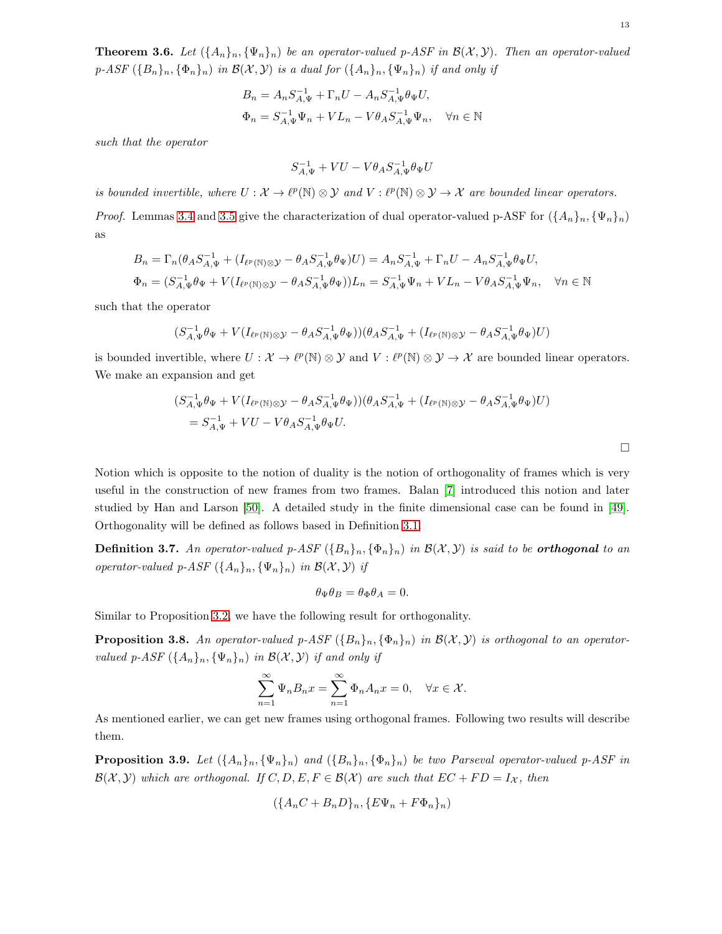<span id="page-12-0"></span>**Theorem 3.6.** Let  $(\{A_n\}_n, \{\Psi_n\}_n)$  be an operator-valued p-ASF in  $\mathcal{B}(\mathcal{X}, \mathcal{Y})$ . Then an operator-valued  $p\text{-}ASF\left(\{B_n\}_n,\{\Phi_n\}_n\right)$  in  $\mathcal{B}(\mathcal{X},\mathcal{Y})$  is a dual for  $(\{A_n\}_n,\{\Psi_n\}_n)$  if and only if

$$
B_n = A_n S_{A,\Psi}^{-1} + \Gamma_n U - A_n S_{A,\Psi}^{-1} \theta_\Psi U,
$$
  

$$
\Phi_n = S_{A,\Psi}^{-1} \Psi_n + V L_n - V \theta_A S_{A,\Psi}^{-1} \Psi_n, \quad \forall n \in \mathbb{N}
$$

such that the operator

$$
S_{A,\Psi}^{-1}+VU-V\theta_AS_{A,\Psi}^{-1}\theta_{\Psi}U
$$

is bounded invertible, where  $U: \mathcal{X} \to \ell^p(\mathbb{N}) \otimes \mathcal{Y}$  and  $V: \ell^p(\mathbb{N}) \otimes \mathcal{Y} \to \mathcal{X}$  are bounded linear operators. *Proof.* Lemmas [3.4](#page-11-0) and [3.5](#page-11-1) give the characterization of dual operator-valued p-ASF for  $(\lbrace A_n \rbrace_n, \lbrace \Psi_n \rbrace_n)$ as

$$
B_n = \Gamma_n(\theta_A S_{A,\Psi}^{-1} + (I_{\ell^p(\mathbb{N}) \otimes \mathcal{Y}} - \theta_A S_{A,\Psi}^{-1} \theta_\Psi) U) = A_n S_{A,\Psi}^{-1} + \Gamma_n U - A_n S_{A,\Psi}^{-1} \theta_\Psi U,
$$
  

$$
\Phi_n = (S_{A,\Psi}^{-1} \theta_\Psi + V(I_{\ell^p(\mathbb{N}) \otimes \mathcal{Y}} - \theta_A S_{A,\Psi}^{-1} \theta_\Psi)) L_n = S_{A,\Psi}^{-1} \Psi_n + V L_n - V \theta_A S_{A,\Psi}^{-1} \Psi_n, \quad \forall n \in \mathbb{N}
$$

such that the operator

$$
(S_{A,\Psi}^{-1}\theta_\Psi+V(I_{\ell^p(\mathbb{N})\otimes\mathcal{Y}}-\theta_AS_{A,\Psi}^{-1}\theta_\Psi))(\theta_AS_{A,\Psi}^{-1}+(I_{\ell^p(\mathbb{N})\otimes\mathcal{Y}}-\theta_AS_{A,\Psi}^{-1}\theta_\Psi)U)
$$

is bounded invertible, where  $U: \mathcal{X} \to \ell^p(\mathbb{N}) \otimes \mathcal{Y}$  and  $V: \ell^p(\mathbb{N}) \otimes \mathcal{Y} \to \mathcal{X}$  are bounded linear operators. We make an expansion and get

$$
(S_{A,\Psi}^{-1}\theta_{\Psi} + V(I_{\ell^p(\mathbb{N})\otimes\mathcal{Y}} - \theta_A S_{A,\Psi}^{-1}\theta_{\Psi}))(\theta_A S_{A,\Psi}^{-1} + (I_{\ell^p(\mathbb{N})\otimes\mathcal{Y}} - \theta_A S_{A,\Psi}^{-1}\theta_{\Psi})U)
$$
  
=  $S_{A,\Psi}^{-1} + VU - V\theta_A S_{A,\Psi}^{-1}\theta_{\Psi}U.$ 

Notion which is opposite to the notion of duality is the notion of orthogonality of frames which is very useful in the construction of new frames from two frames. Balan [\[7\]](#page-23-6) introduced this notion and later studied by Han and Larson [\[50\]](#page-25-5). A detailed study in the finite dimensional case can be found in [\[49\]](#page-25-20). Orthogonality will be defined as follows based in Definition [3.1.](#page-10-1)

**Definition 3.7.** An operator-valued p-ASF  $(\{B_n\}_n, \{\Phi_n\}_n)$  in  $\mathcal{B}(\mathcal{X}, \mathcal{Y})$  is said to be **orthogonal** to an operator-valued p-ASF  $(\{A_n\}_n, {\{\Psi_n\}}_n)$  in  $\mathcal{B}(\mathcal{X}, \mathcal{Y})$  if

$$
\theta_{\Psi}\theta_B = \theta_{\Phi}\theta_A = 0.
$$

Similar to Proposition [3.2,](#page-10-2) we have the following result for orthogonality.

**Proposition 3.8.** An operator-valued p-ASF  $(\{B_n\}_n, \{\Phi_n\}_n)$  in  $\mathcal{B}(\mathcal{X}, \mathcal{Y})$  is orthogonal to an operatorvalued p-ASF  $({A_n}_n, {\Psi_n}_n)$  in  $\mathcal{B}(\mathcal{X}, \mathcal{Y})$  if and only if

$$
\sum_{n=1}^{\infty} \Psi_n B_n x = \sum_{n=1}^{\infty} \Phi_n A_n x = 0, \quad \forall x \in \mathcal{X}.
$$

As mentioned earlier, we can get new frames using orthogonal frames. Following two results will describe them.

**Proposition 3.9.** Let  $(\{A_n\}_n, \{\Psi_n\}_n)$  and  $(\{B_n\}_n, \{\Phi_n\}_n)$  be two Parseval operator-valued p-ASF in  $\mathcal{B}(\mathcal{X}, \mathcal{Y})$  which are orthogonal. If  $C, D, E, F \in \mathcal{B}(\mathcal{X})$  are such that  $EC + FD = I_{\mathcal{X}}$ , then

$$
(\{A_n C + B_n D\}_n, \{E\Psi_n + F\Phi_n\}_n)
$$

 $\Box$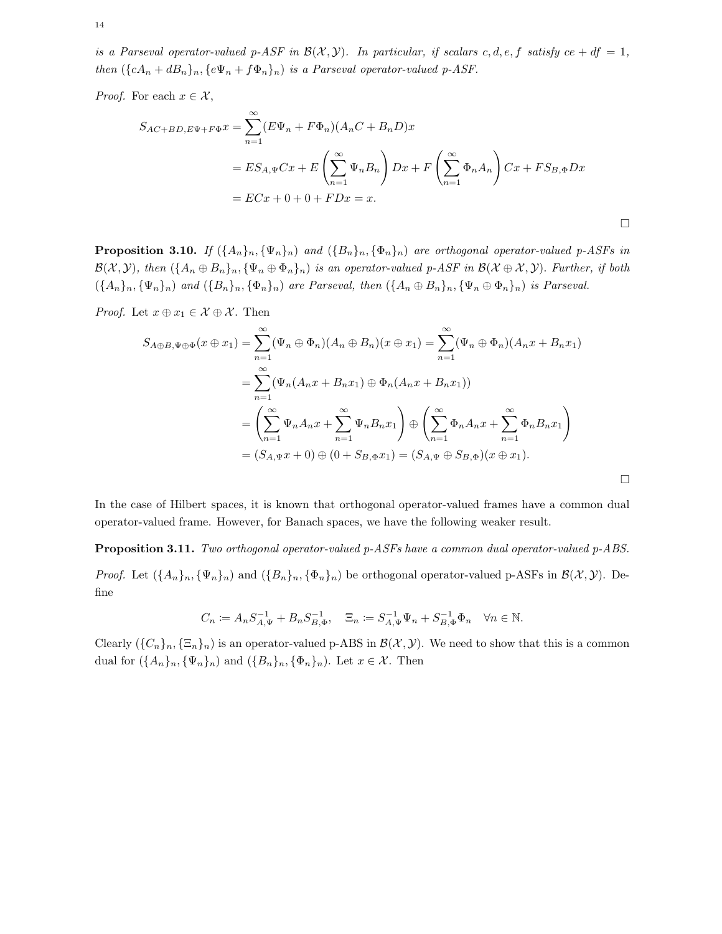is a Parseval operator-valued p-ASF in  $\mathcal{B}(\mathcal{X}, \mathcal{Y})$ . In particular, if scalars c, d, e, f satisfy ce + df = 1, then  $({cA_n + dB_n}_n, {e\Psi_n + f\Phi_n}_n)$  is a Parseval operator-valued p-ASF.

*Proof.* For each  $x \in \mathcal{X}$ ,

$$
S_{AC+BD,E\Psi + F\Phi}x = \sum_{n=1}^{\infty} (E\Psi_n + F\Phi_n)(A_nC + B_nD)x
$$
  
=  $ES_{A,\Psi}Cx + E\left(\sum_{n=1}^{\infty} \Psi_nB_n\right)Dx + F\left(\sum_{n=1}^{\infty} \Phi_nA_n\right)Cx + FS_{B,\Phi}Dx$   
=  $ECx + 0 + 0 + FDx = x$ .

**Proposition 3.10.** If  $(\{A_n\}_n, \{\Psi_n\}_n)$  and  $(\{B_n\}_n, \{\Phi_n\}_n)$  are orthogonal operator-valued p-ASFs in  $\mathcal{B}(\mathcal{X}, \mathcal{Y})$ , then  $(\{A_n \oplus B_n\}_n, {\{\Psi_n \oplus \Phi_n\}_n})$  is an operator-valued p-ASF in  $\mathcal{B}(\mathcal{X} \oplus \mathcal{X}, \mathcal{Y})$ . Further, if both  $({A_n}_n, {\Psi_n}_n)$  and  $({B_n}_n, {\Phi_n}_n)$  are Parseval, then  $({A_n \oplus B_n}_n, {\Psi_n \oplus \Phi_n}_n)$  is Parseval.

*Proof.* Let  $x \oplus x_1 \in \mathcal{X} \oplus \mathcal{X}$ . Then

$$
S_{A\oplus B,\Psi\oplus\Phi}(x\oplus x_1) = \sum_{n=1}^{\infty} (\Psi_n \oplus \Phi_n)(A_n \oplus B_n)(x\oplus x_1) = \sum_{n=1}^{\infty} (\Psi_n \oplus \Phi_n)(A_n x + B_n x_1)
$$
  

$$
= \sum_{n=1}^{\infty} (\Psi_n(A_n x + B_n x_1) \oplus \Phi_n(A_n x + B_n x_1))
$$
  

$$
= \left(\sum_{n=1}^{\infty} \Psi_n A_n x + \sum_{n=1}^{\infty} \Psi_n B_n x_1\right) \oplus \left(\sum_{n=1}^{\infty} \Phi_n A_n x + \sum_{n=1}^{\infty} \Phi_n B_n x_1\right)
$$
  

$$
= (S_{A,\Psi} x + 0) \oplus (0 + S_{B,\Phi} x_1) = (S_{A,\Psi} \oplus S_{B,\Phi})(x\oplus x_1).
$$

 $\Box$ 

In the case of Hilbert spaces, it is known that orthogonal operator-valued frames have a common dual operator-valued frame. However, for Banach spaces, we have the following weaker result.

Proposition 3.11. Two orthogonal operator-valued p-ASFs have a common dual operator-valued p-ABS.

*Proof.* Let  $(\{A_n\}_n, \{\Psi_n\}_n)$  and  $(\{B_n\}_n, \{\Phi_n\}_n)$  be orthogonal operator-valued p-ASFs in  $\mathcal{B}(\mathcal{X}, \mathcal{Y})$ . Define

$$
C_n \coloneqq A_n S_{A,\Psi}^{-1} + B_n S_{B,\Phi}^{-1}, \quad \Xi_n \coloneqq S_{A,\Psi}^{-1} \Psi_n + S_{B,\Phi}^{-1} \Phi_n \quad \forall n \in \mathbb{N}.
$$

Clearly  $({C_n})_n, {\Xi_n}_n$  is an operator-valued p-ABS in  $\mathcal{B}(\mathcal{X}, \mathcal{Y})$ . We need to show that this is a common dual for  $(\{A_n\}_n, \{\Psi_n\}_n)$  and  $(\{B_n\}_n, \{\Phi_n\}_n)$ . Let  $x \in \mathcal{X}$ . Then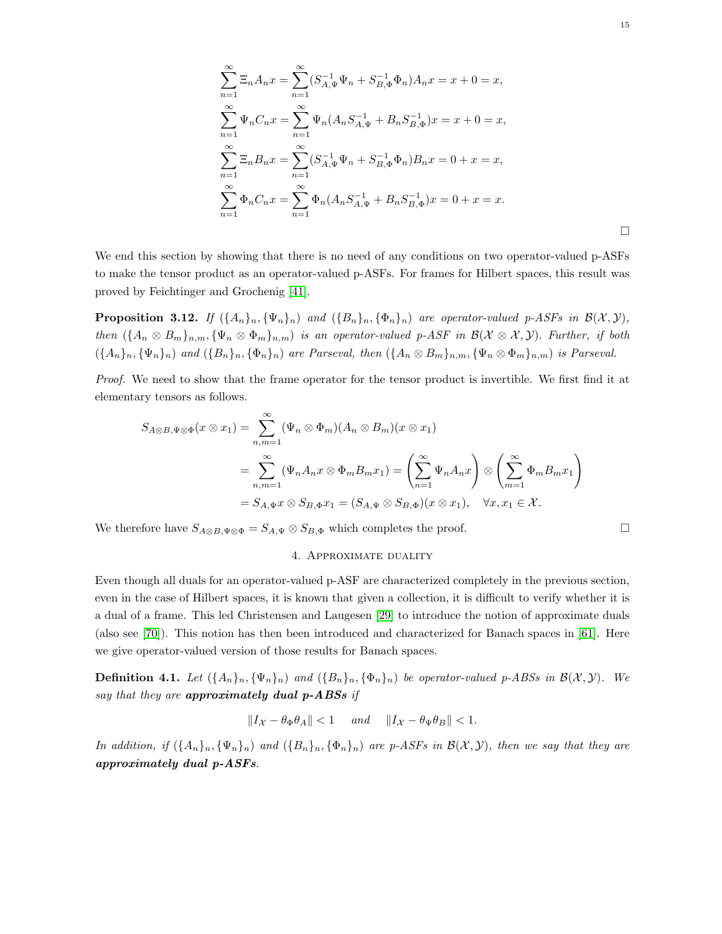$$
\sum_{n=1}^{\infty} \Xi_n A_n x = \sum_{n=1}^{\infty} (S_{A,\Psi}^{-1} \Psi_n + S_{B,\Phi}^{-1} \Phi_n) A_n x = x + 0 = x,
$$
  

$$
\sum_{n=1}^{\infty} \Psi_n C_n x = \sum_{n=1}^{\infty} \Psi_n (A_n S_{A,\Psi}^{-1} + B_n S_{B,\Phi}^{-1}) x = x + 0 = x,
$$
  

$$
\sum_{n=1}^{\infty} \Xi_n B_n x = \sum_{n=1}^{\infty} (S_{A,\Psi}^{-1} \Psi_n + S_{B,\Phi}^{-1} \Phi_n) B_n x = 0 + x = x,
$$
  

$$
\sum_{n=1}^{\infty} \Phi_n C_n x = \sum_{n=1}^{\infty} \Phi_n (A_n S_{A,\Psi}^{-1} + B_n S_{B,\Phi}^{-1}) x = 0 + x = x.
$$

We end this section by showing that there is no need of any conditions on two operator-valued p-ASFs to make the tensor product as an operator-valued p-ASFs. For frames for Hilbert spaces, this result was proved by Feichtinger and Grochenig [\[41\]](#page-25-21).

**Proposition 3.12.** If  $(\{A_n\}_n, \{\Psi_n\}_n)$  and  $(\{B_n\}_n, \{\Phi_n\}_n)$  are operator-valued p-ASFs in  $\mathcal{B}(\mathcal{X}, \mathcal{Y})$ , then  $({A_n \otimes B_m}_{n,m}, {\Psi_n \otimes \Phi_m}_{n,m})$  is an operator-valued p-ASF in  $\mathcal{B}(\mathcal{X} \otimes \mathcal{X}, \mathcal{Y})$ . Further, if both  $({A_n}_n, {\Psi_n}_n)$  and  $({B_n}_n, {\Phi_n}_n)$  are Parseval, then  $({A_n \otimes B_m}_n, {\Psi_n \otimes \Phi_m}_n)$  is Parseval.

Proof. We need to show that the frame operator for the tensor product is invertible. We first find it at elementary tensors as follows.

$$
S_{A\otimes B,\Psi\otimes\Phi}(x\otimes x_1) = \sum_{n,m=1}^{\infty} (\Psi_n \otimes \Phi_m)(A_n \otimes B_m)(x\otimes x_1)
$$
  
= 
$$
\sum_{n,m=1}^{\infty} (\Psi_n A_n x \otimes \Phi_m B_m x_1) = \left(\sum_{n=1}^{\infty} \Psi_n A_n x\right) \otimes \left(\sum_{m=1}^{\infty} \Phi_m B_m x_1\right)
$$
  
= 
$$
S_{A,\Psi} x \otimes S_{B,\Phi} x_1 = (S_{A,\Psi} \otimes S_{B,\Phi})(x \otimes x_1), \quad \forall x, x_1 \in \mathcal{X}.
$$

<span id="page-14-0"></span>We therefore have  $S_{A\otimes B,\Psi\otimes \Phi} = S_{A,\Psi} \otimes S_{B,\Phi}$  which completes the proof.

#### 4. Approximate duality

Even though all duals for an operator-valued p-ASF are characterized completely in the previous section, even in the case of Hilbert spaces, it is known that given a collection, it is difficult to verify whether it is a dual of a frame. This led Christensen and Laugesen [\[29\]](#page-24-17) to introduce the notion of approximate duals (also see [\[70\]](#page-26-16)). This notion has then been introduced and characterized for Banach spaces in [\[61\]](#page-25-22). Here we give operator-valued version of those results for Banach spaces.

<span id="page-14-1"></span>**Definition 4.1.** Let  $(\{A_n\}_n, \{\Psi_n\}_n)$  and  $(\{B_n\}_n, \{\Phi_n\}_n)$  be operator-valued p-ABSs in  $\mathcal{B}(\mathcal{X}, \mathcal{Y})$ . We say that they are approximately dual p-ABSs if

$$
||I_{\mathcal{X}} - \theta_{\Phi}\theta_A|| < 1 \quad \text{and} \quad ||I_{\mathcal{X}} - \theta_{\Psi}\theta_B|| < 1.
$$

In addition, if  $(\{A_n\}_n, \{\Psi_n\}_n)$  and  $(\{B_n\}_n, \{\Phi_n\}_n)$  are p-ASFs in  $\mathcal{B}(\mathcal{X}, \mathcal{Y})$ , then we say that they are approximately dual p-ASFs.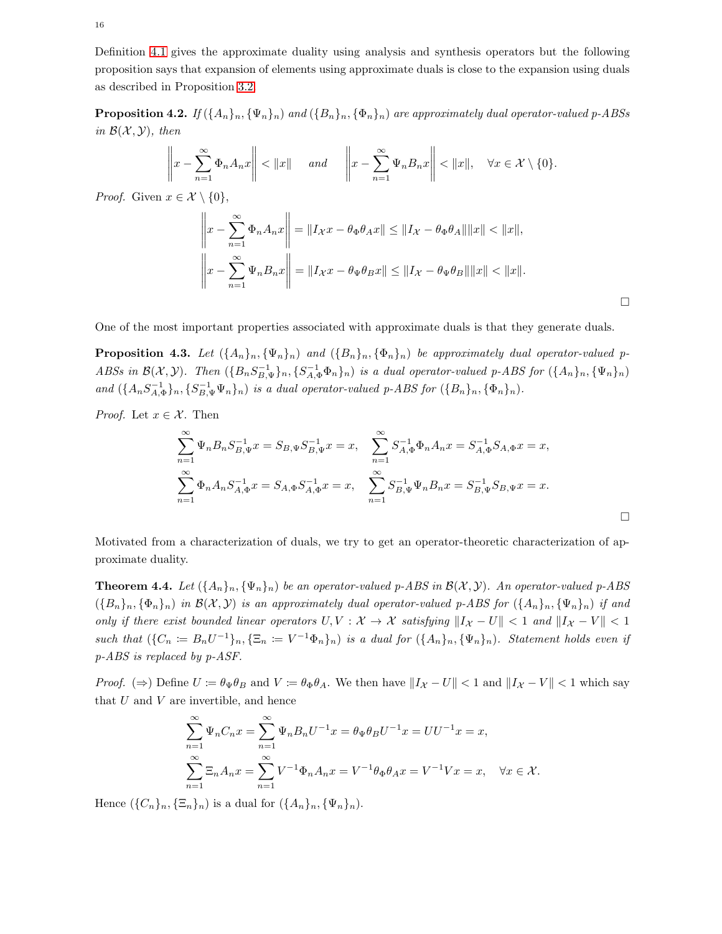Definition [4.1](#page-14-1) gives the approximate duality using analysis and synthesis operators but the following proposition says that expansion of elements using approximate duals is close to the expansion using duals as described in Proposition [3.2.](#page-10-2)

**Proposition 4.2.** If  $(\{A_n\}_n, \{\Psi_n\}_n)$  and  $(\{B_n\}_n, \{\Phi_n\}_n)$  are approximately dual operator-valued p-ABSs in  $\mathcal{B}(\mathcal{X}, \mathcal{Y})$ , then

$$
\left\|x - \sum_{n=1}^{\infty} \Phi_n A_n x\right\| < \|x\| \quad \text{and} \quad \left\|x - \sum_{n=1}^{\infty} \Psi_n B_n x\right\| < \|x\|, \quad \forall x \in \mathcal{X} \setminus \{0\}.
$$

*Proof.* Given  $x \in \mathcal{X} \setminus \{0\}$ ,

$$
\left\|x - \sum_{n=1}^{\infty} \Phi_n A_n x\right\| = \|I_{\mathcal{X}} x - \theta_{\Phi} \theta_A x\| \le \|I_{\mathcal{X}} - \theta_{\Phi} \theta_A\| \|x\| < \|x\|,
$$
  

$$
\left\|x - \sum_{n=1}^{\infty} \Psi_n B_n x\right\| = \|I_{\mathcal{X}} x - \theta_{\Psi} \theta_B x\| \le \|I_{\mathcal{X}} - \theta_{\Psi} \theta_B\| \|x\| < \|x\|.
$$

One of the most important properties associated with approximate duals is that they generate duals.

**Proposition 4.3.** Let  $(\{A_n\}_n, \{\Psi_n\}_n)$  and  $(\{B_n\}_n, \{\Phi_n\}_n)$  be approximately dual operator-valued p-ABSs in  $\mathcal{B}(\mathcal{X}, \mathcal{Y})$ . Then  $(\{B_n S_{B,\Psi}^{-1}\}_n, \{S_{A,\Phi}^{-1} \Phi_n\}_n)$  is a dual operator-valued p-ABS for  $(\{A_n\}_n, \{\Psi_n\}_n)$ and  $(\{A_nS_{A,\Phi}^{-1}\}_n, \{S_{B,\Psi}^{-1}\Psi_n\}_n)$  is a dual operator-valued p-ABS for  $(\{B_n\}_n, \{\Phi_n\}_n)$ .

*Proof.* Let  $x \in \mathcal{X}$ . Then

$$
\sum_{n=1}^{\infty} \Psi_n B_n S_{B,\Psi}^{-1} x = S_{B,\Psi} S_{B,\Psi}^{-1} x = x, \quad \sum_{n=1}^{\infty} S_{A,\Phi}^{-1} \Phi_n A_n x = S_{A,\Phi}^{-1} S_{A,\Phi} x = x,
$$
  

$$
\sum_{n=1}^{\infty} \Phi_n A_n S_{A,\Phi}^{-1} x = S_{A,\Phi} S_{A,\Phi}^{-1} x = x, \quad \sum_{n=1}^{\infty} S_{B,\Psi}^{-1} \Psi_n B_n x = S_{B,\Psi}^{-1} S_{B,\Psi} x = x.
$$

Motivated from a characterization of duals, we try to get an operator-theoretic characterization of approximate duality.

<span id="page-15-0"></span>**Theorem 4.4.** Let  $({A_n}_n, {\Psi_n}_n)$  be an operator-valued p-ABS in  $\mathcal{B}(\mathcal{X}, \mathcal{Y})$ . An operator-valued p-ABS  $(\{B_n\}_n, \{\Phi_n\}_n)$  in  $\mathcal{B}(\mathcal{X}, \mathcal{Y})$  is an approximately dual operator-valued p-ABS for  $(\{A_n\}_n, \{\Psi_n\}_n)$  if and only if there exist bounded linear operators  $U, V : \mathcal{X} \to \mathcal{X}$  satisfying  $||I_{\mathcal{X}} - U|| < 1$  and  $||I_{\mathcal{X}} - V|| < 1$ such that  $(\{C_n := B_n U^{-1}\}_n, \{\Xi_n := V^{-1}\Phi_n\}_n)$  is a dual for  $(\{A_n\}_n, \{\Psi_n\}_n)$ . Statement holds even if p-ABS is replaced by p-ASF.

*Proof.* (⇒) Define  $U := \theta_{\Psi} \theta_B$  and  $V := \theta_{\Phi} \theta_A$ . We then have  $||I_{\mathcal{X}} - U|| < 1$  and  $||I_{\mathcal{X}} - V|| < 1$  which say that  $U$  and  $V$  are invertible, and hence

$$
\sum_{n=1}^{\infty} \Psi_n C_n x = \sum_{n=1}^{\infty} \Psi_n B_n U^{-1} x = \theta_{\Psi} \theta_B U^{-1} x = U U^{-1} x = x,
$$
  

$$
\sum_{n=1}^{\infty} \Xi_n A_n x = \sum_{n=1}^{\infty} V^{-1} \Phi_n A_n x = V^{-1} \theta_{\Phi} \theta_A x = V^{-1} V x = x, \quad \forall x \in \mathcal{X}.
$$

Hence  $(\{C_n\}_n, \{\Xi_n\}_n)$  is a dual for  $(\{A_n\}_n, \{\Psi_n\}_n)$ .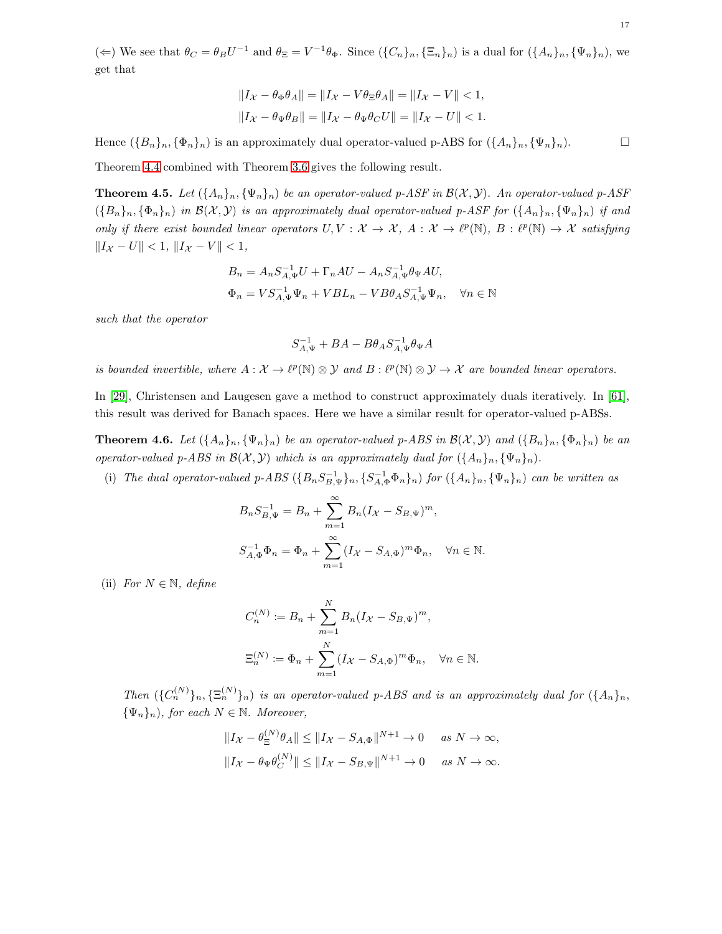( $\Leftarrow$ ) We see that  $\theta_C = \theta_B U^{-1}$  and  $\theta_{\Xi} = V^{-1} \theta_{\Phi}$ . Since  $(\{C_n\}_n, {\{\Xi_n\}}_n)$  is a dual for  $({A_n}_1)_n, {\{\Psi_n\}}_n)$ , we get that

$$
||I_{\mathcal{X}} - \theta_{\Phi}\theta_{A}|| = ||I_{\mathcal{X}} - V\theta_{\Xi}\theta_{A}|| = ||I_{\mathcal{X}} - V|| < 1,
$$
  

$$
||I_{\mathcal{X}} - \theta_{\Psi}\theta_{B}|| = ||I_{\mathcal{X}} - \theta_{\Psi}\theta_{C}U|| = ||I_{\mathcal{X}} - U|| < 1.
$$

Hence  $({B_n}_n, {\Phi_n}_n)$  is an approximately dual operator-valued p-ABS for  $({A_n}_n, {\Psi_n}_n)$ .

Theorem [4.4](#page-15-0) combined with Theorem [3.6](#page-12-0) gives the following result.

**Theorem 4.5.** Let  $(\{A_n\}_n, \{\Psi_n\}_n)$  be an operator-valued p-ASF in  $\mathcal{B}(\mathcal{X}, \mathcal{Y})$ . An operator-valued p-ASF  $(\{B_n\}_n, \{\Phi_n\}_n)$  in  $\mathcal{B}(\mathcal{X}, \mathcal{Y})$  is an approximately dual operator-valued p-ASF for  $(\{A_n\}_n, \{\Psi_n\}_n)$  if and only if there exist bounded linear operators  $U, V : \mathcal{X} \to \mathcal{X}, A : \mathcal{X} \to \ell^p(\mathbb{N}), B : \ell^p(\mathbb{N}) \to \mathcal{X}$  satisfying  $||I_{\mathcal{X}} - U|| < 1, ||I_{\mathcal{X}} - V|| < 1,$ 

$$
B_n = A_n S_{A,\Psi}^{-1} U + \Gamma_n A U - A_n S_{A,\Psi}^{-1} \theta_\Psi A U,
$$
  

$$
\Phi_n = V S_{A,\Psi}^{-1} \Psi_n + V B L_n - V B \theta_A S_{A,\Psi}^{-1} \Psi_n, \quad \forall n \in \mathbb{N}
$$

such that the operator

$$
S_{A,\Psi}^{-1}+BA-B\theta_AS_{A,\Psi}^{-1}\theta_\Psi A
$$

is bounded invertible, where  $A: \mathcal{X} \to \ell^p(\mathbb{N}) \otimes \mathcal{Y}$  and  $B: \ell^p(\mathbb{N}) \otimes \mathcal{Y} \to \mathcal{X}$  are bounded linear operators.

In [\[29\]](#page-24-17), Christensen and Laugesen gave a method to construct approximately duals iteratively. In [\[61\]](#page-25-22), this result was derived for Banach spaces. Here we have a similar result for operator-valued p-ABSs.

**Theorem 4.6.** Let  $(\{A_n\}_n, \{\Psi_n\}_n)$  be an operator-valued p-ABS in  $\mathcal{B}(\mathcal{X}, \mathcal{Y})$  and  $(\{B_n\}_n, \{\Phi_n\}_n)$  be an operator-valued p-ABS in  $\mathcal{B}(\mathcal{X}, \mathcal{Y})$  which is an approximately dual for  $(\{A_n\}_n, \{\Psi_n\}_n)$ .

(i) The dual operator-valued p-ABS  $(\{B_n S_{B,\Psi}^{-1}\}_n, \{S_{A,\Phi}^{-1} \Phi_n\}_n)$  for  $(\{A_n\}_n, \{\Psi_n\}_n)$  can be written as

$$
B_n S_{B,\Psi}^{-1} = B_n + \sum_{m=1}^{\infty} B_n (I_{\mathcal{X}} - S_{B,\Psi})^m,
$$
  

$$
S_{A,\Phi}^{-1} \Phi_n = \Phi_n + \sum_{m=1}^{\infty} (I_{\mathcal{X}} - S_{A,\Phi})^m \Phi_n, \quad \forall n \in \mathbb{N}.
$$

(ii) For  $N \in \mathbb{N}$ , define

$$
C_n^{(N)} := B_n + \sum_{m=1}^N B_n (I_X - S_{B,\Psi})^m,
$$
  

$$
\Xi_n^{(N)} := \Phi_n + \sum_{m=1}^N (I_X - S_{A,\Phi})^m \Phi_n, \quad \forall n \in \mathbb{N}.
$$

Then  $(\{C_n^{(N)}\}_n, \{\Xi_n^{(N)}\}_n)$  is an operator-valued p-ABS and is an approximately dual for  $(\{A_n\}_n,$  ${\{\Psi_n\}_n}$ , for each  $N \in \mathbb{N}$ . Moreover,

$$
||I_{\mathcal{X}} - \theta_{\Xi}^{(N)} \theta_A|| \le ||I_{\mathcal{X}} - S_{A,\Phi}||^{N+1} \to 0 \quad \text{as } N \to \infty,
$$
  

$$
||I_{\mathcal{X}} - \theta_{\Psi} \theta_C^{(N)}|| \le ||I_{\mathcal{X}} - S_{B,\Psi}||^{N+1} \to 0 \quad \text{as } N \to \infty.
$$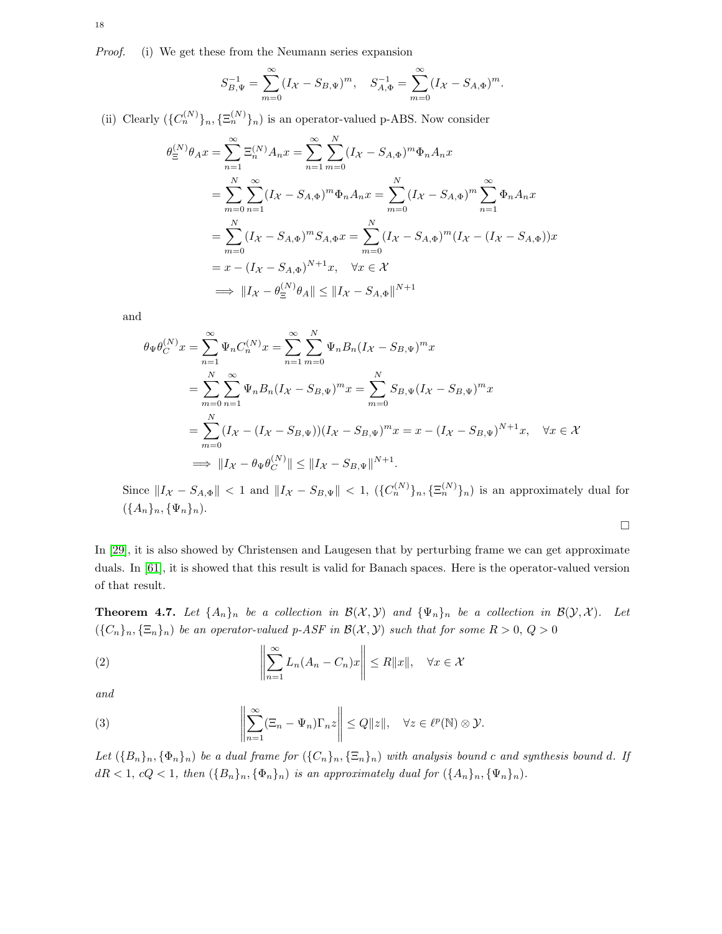Proof. (i) We get these from the Neumann series expansion

$$
S_{B,\Psi}^{-1} = \sum_{m=0}^{\infty} (I_{\mathcal{X}} - S_{B,\Psi})^m, \quad S_{A,\Phi}^{-1} = \sum_{m=0}^{\infty} (I_{\mathcal{X}} - S_{A,\Phi})^m.
$$

(ii) Clearly  $({C_n^{(N)}})_n, {\Xi_n^{(N)}}_n$  is an operator-valued p-ABS. Now consider

$$
\theta_{\Xi}^{(N)} \theta_A x = \sum_{n=1}^{\infty} \Xi_n^{(N)} A_n x = \sum_{n=1}^{\infty} \sum_{m=0}^{N} (I_{\mathcal{X}} - S_{A, \Phi})^m \Phi_n A_n x \n= \sum_{m=0}^{N} \sum_{n=1}^{\infty} (I_{\mathcal{X}} - S_{A, \Phi})^m \Phi_n A_n x = \sum_{m=0}^{N} (I_{\mathcal{X}} - S_{A, \Phi})^m \sum_{n=1}^{\infty} \Phi_n A_n x \n= \sum_{m=0}^{N} (I_{\mathcal{X}} - S_{A, \Phi})^m S_{A, \Phi} x = \sum_{m=0}^{N} (I_{\mathcal{X}} - S_{A, \Phi})^m (I_{\mathcal{X}} - (I_{\mathcal{X}} - S_{A, \Phi})) x \n= x - (I_{\mathcal{X}} - S_{A, \Phi})^{N+1} x, \quad \forall x \in \mathcal{X} \n\implies ||I_{\mathcal{X}} - \theta_{\Xi}^{(N)} \theta_A|| \le ||I_{\mathcal{X}} - S_{A, \Phi}||^{N+1}
$$

and

$$
\theta_{\Psi}\theta_{C}^{(N)}x = \sum_{n=1}^{\infty} \Psi_{n}C_{n}^{(N)}x = \sum_{n=1}^{\infty} \sum_{m=0}^{N} \Psi_{n}B_{n}(I_{\mathcal{X}} - S_{B,\Psi})^{m}x
$$
  
\n
$$
= \sum_{m=0}^{N} \sum_{n=1}^{\infty} \Psi_{n}B_{n}(I_{\mathcal{X}} - S_{B,\Psi})^{m}x = \sum_{m=0}^{N} S_{B,\Psi}(I_{\mathcal{X}} - S_{B,\Psi})^{m}x
$$
  
\n
$$
= \sum_{m=0}^{N} (I_{\mathcal{X}} - (I_{\mathcal{X}} - S_{B,\Psi})) (I_{\mathcal{X}} - S_{B,\Psi})^{m}x = x - (I_{\mathcal{X}} - S_{B,\Psi})^{N+1}x, \quad \forall x \in \mathcal{X}
$$
  
\n
$$
\implies ||I_{\mathcal{X}} - \theta_{\Psi}\theta_{C}^{(N)}|| \le ||I_{\mathcal{X}} - S_{B,\Psi}||^{N+1}.
$$

Since  $||I_{\mathcal{X}} - S_{A,\Phi}|| < 1$  and  $||I_{\mathcal{X}} - S_{B,\Psi}|| < 1$ ,  $({C_n^{(N)}})_n, {\Xi_n^{(N)}}_n)$  is an approximately dual for  $({A_n}_n, { {\Psi_n}}_n).$ 

 $\Box$ 

In [\[29\]](#page-24-17), it is also showed by Christensen and Laugesen that by perturbing frame we can get approximate duals. In [\[61\]](#page-25-22), it is showed that this result is valid for Banach spaces. Here is the operator-valued version of that result.

**Theorem 4.7.** Let  $\{A_n\}_n$  be a collection in  $\mathcal{B}(\mathcal{X}, \mathcal{Y})$  and  $\{\Psi_n\}_n$  be a collection in  $\mathcal{B}(\mathcal{Y}, \mathcal{X})$ . Let  $({C_n}_n, {E_n}_n)$  be an operator-valued p-ASF in  $\mathcal{B}(\mathcal{X}, \mathcal{Y})$  such that for some  $R > 0$ ,  $Q > 0$ 

<span id="page-17-0"></span>(2) 
$$
\left\| \sum_{n=1}^{\infty} L_n (A_n - C_n) x \right\| \le R \|x\|, \quad \forall x \in \mathcal{X}
$$

and

<span id="page-17-1"></span>(3) 
$$
\left\| \sum_{n=1}^{\infty} (\Xi_n - \Psi_n) \Gamma_n z \right\| \leq Q \|z\|, \quad \forall z \in \ell^p(\mathbb{N}) \otimes \mathcal{Y}.
$$

Let  $(\{B_n\}_n, \{\Phi_n\}_n)$  be a dual frame for  $(\{C_n\}_n, \{\Xi_n\}_n)$  with analysis bound c and synthesis bound d. If  $dR < 1, cQ < 1$ , then  $({B_n}_n, {\Phi_n}_n)$  is an approximately dual for  $({A_n}_n, {\Psi_n}_n)$ .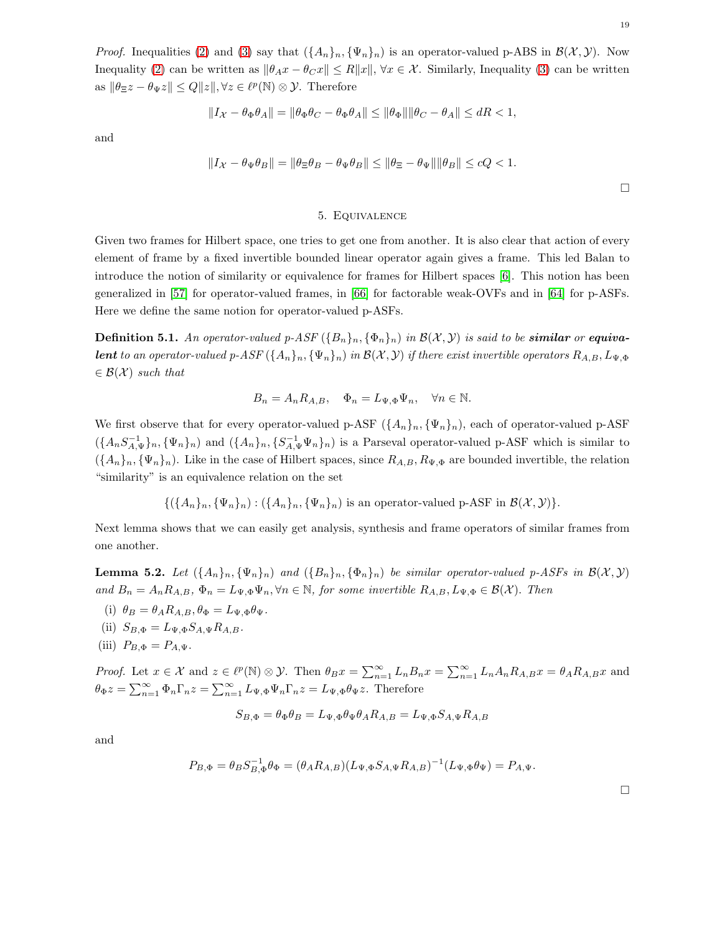*Proof.* Inequalities [\(2\)](#page-17-0) and [\(3\)](#page-17-1) say that  $({A_n}_n, {\Psi_n}_n)$  is an operator-valued p-ABS in  $\mathcal{B}(\mathcal{X}, \mathcal{Y})$ . Now Inequality [\(2\)](#page-17-0) can be written as  $\|\theta_A x - \theta_C x\| \le R \|x\|$ ,  $\forall x \in \mathcal{X}$ . Similarly, Inequality [\(3\)](#page-17-1) can be written as  $\|\theta_{\Xi} z - \theta_{\Psi} z\| \leq Q \|z\|, \forall z \in \ell^p(\mathbb{N}) \otimes \mathcal{Y}$ . Therefore

$$
||I_{\mathcal{X}} - \theta_{\Phi}\theta_{A}|| = ||\theta_{\Phi}\theta_{C} - \theta_{\Phi}\theta_{A}|| \le ||\theta_{\Phi}|| ||\theta_{C} - \theta_{A}|| \le dR < 1,
$$

and

$$
||I_{\mathcal{X}} - \theta_{\Psi}\theta_B|| = ||\theta_{\Xi}\theta_B - \theta_{\Psi}\theta_B|| \le ||\theta_{\Xi} - \theta_{\Psi}|| ||\theta_B|| \le cQ < 1.
$$

## 5. Equivalence

<span id="page-18-0"></span>Given two frames for Hilbert space, one tries to get one from another. It is also clear that action of every element of frame by a fixed invertible bounded linear operator again gives a frame. This led Balan to introduce the notion of similarity or equivalence for frames for Hilbert spaces [\[6\]](#page-23-7). This notion has been generalized in [\[57\]](#page-25-9) for operator-valued frames, in [\[66\]](#page-26-8) for factorable weak-OVFs and in [\[64\]](#page-26-9) for p-ASFs. Here we define the same notion for operator-valued p-ASFs.

**Definition 5.1.** An operator-valued p-ASF  $({B_n})_n$ ,  ${\Phi_n}_n$ ) in  $\mathcal{B}(\mathcal{X}, \mathcal{Y})$  is said to be **similar** or **equiva**lent to an operator-valued p-ASF  $(\{A_n\}_n, \{\Psi_n\}_n)$  in  $\mathcal{B}(\mathcal{X}, \mathcal{Y})$  if there exist invertible operators  $R_{A,B}, L_{\Psi, \Phi}$  $\in \mathcal{B}(\mathcal{X})$  such that

$$
B_n = A_n R_{A,B}, \quad \Phi_n = L_{\Psi, \Phi} \Psi_n, \quad \forall n \in \mathbb{N}.
$$

We first observe that for every operator-valued p-ASF  $({A_n}_n, {\Psi_n}_n)$ , each of operator-valued p-ASF  $(\{A_nS_{A,\Psi}^{-1}\}_n, \{\Psi_n\}_n)$  and  $(\{A_n\}_n, \{S_{A,\Psi}^{-1}\Psi_n\}_n)$  is a Parseval operator-valued p-ASF which is similar to  $({A_n}_n, {\Psi_n}_n)$ . Like in the case of Hilbert spaces, since  $R_{A,B}, R_{\Psi,\Phi}$  are bounded invertible, the relation "similarity" is an equivalence relation on the set

$$
\{(\{A_n\}_n, \{\Psi_n\}_n) : (\{A_n\}_n, \{\Psi_n\}_n) \text{ is an operator-valued p-ASE in } \mathcal{B}(\mathcal{X}, \mathcal{Y})\}.
$$

Next lemma shows that we can easily get analysis, synthesis and frame operators of similar frames from one another.

<span id="page-18-1"></span>**Lemma 5.2.** Let  $(\{A_n\}_n, \{\Psi_n\}_n)$  and  $(\{B_n\}_n, \{\Phi_n\}_n)$  be similar operator-valued p-ASFs in  $\mathcal{B}(\mathcal{X}, \mathcal{Y})$ and  $B_n = A_n R_{A,B}, \Phi_n = L_{\Psi,\Phi} \Psi_n, \forall n \in \mathbb{N}$ , for some invertible  $R_{A,B}, L_{\Psi,\Phi} \in \mathcal{B}(\mathcal{X})$ . Then

- (i)  $\theta_B = \theta_A R_{A,B}, \theta_{\Phi} = L_{\Psi,\Phi} \theta_{\Psi}.$
- (ii)  $S_{B,\Phi} = L_{\Psi,\Phi} S_{A,\Psi} R_{A,B}$ .

$$
(iii) P_{B,\Phi} = P_{A,\Psi}.
$$

*Proof.* Let  $x \in \mathcal{X}$  and  $z \in \ell^p(\mathbb{N}) \otimes \mathcal{Y}$ . Then  $\theta_B x = \sum_{n=1}^{\infty} L_n B_n x = \sum_{n=1}^{\infty} L_n A_n R_{A,B} x = \theta_A R_{A,B} x$  and  $\theta_{\Phi}z = \sum_{n=1}^{\infty} \Phi_n \Gamma_n z = \sum_{n=1}^{\infty} L_{\Psi,\Phi} \Psi_n \Gamma_n z = L_{\Psi,\Phi} \theta_{\Psi} z$ . Therefore

$$
S_{B,\Phi} = \theta_{\Phi}\theta_B = L_{\Psi,\Phi}\theta_{\Psi}\theta_A R_{A,B} = L_{\Psi,\Phi}S_{A,\Psi}R_{A,B}
$$

and

$$
P_{B,\Phi} = \theta_B S_{B,\Phi}^{-1} \theta_{\Phi} = (\theta_A R_{A,B}) (L_{\Psi,\Phi} S_{A,\Psi} R_{A,B})^{-1} (L_{\Psi,\Phi} \theta_{\Psi}) = P_{A,\Psi}.
$$

 $\Box$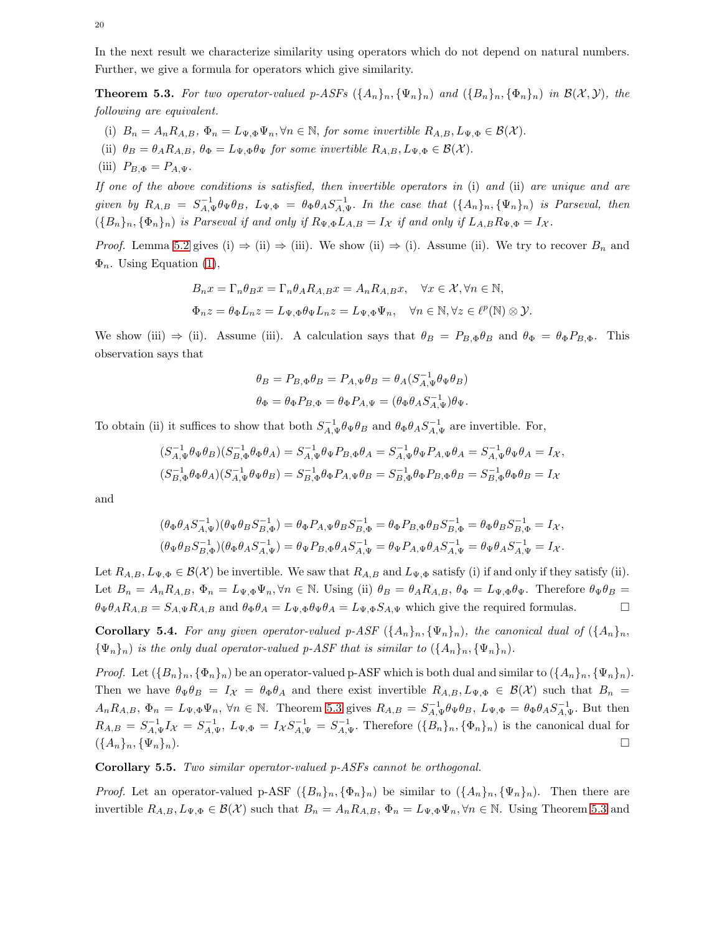In the next result we characterize similarity using operators which do not depend on natural numbers. Further, we give a formula for operators which give similarity.

<span id="page-19-0"></span>**Theorem 5.3.** For two operator-valued p-ASFs  $(\{A_n\}_n, \{\Psi_n\}_n)$  and  $(\{B_n\}_n, \{\Phi_n\}_n)$  in  $\mathcal{B}(\mathcal{X}, \mathcal{Y})$ , the following are equivalent.

- (i)  $B_n = A_n R_{A,B}, \Phi_n = L_{\Psi,\Phi} \Psi_n, \forall n \in \mathbb{N},$  for some invertible  $R_{A,B}, L_{\Psi,\Phi} \in \mathcal{B}(\mathcal{X})$ .
- (ii)  $\theta_B = \theta_A R_{A,B}, \theta_{\Phi} = L_{\Psi,\Phi} \theta_{\Psi}$  for some invertible  $R_{A,B}, L_{\Psi,\Phi} \in \mathcal{B}(\mathcal{X})$ .
- (iii)  $P_{B,\Phi} = P_{A,\Psi}$ .

If one of the above conditions is satisfied, then invertible operators in (i) and (ii) are unique and are given by  $R_{A,B} = S_{A,\Psi}^{-1} \theta_{\Psi} \theta_B$ ,  $L_{\Psi,\Phi} = \theta_{\Phi} \theta_A S_{A,\Psi}^{-1}$ . In the case that  $(\{A_n\}_n, \{\Psi_n\}_n)$  is Parseval, then  $(\{B_n\}_n, \{\Phi_n\}_n)$  is Parseval if and only if  $R_{\Psi, \Phi} L_{A,B} = I_{\mathcal{X}}$  if and only if  $L_{A,B} R_{\Psi, \Phi} = I_{\mathcal{X}}$ .

*Proof.* Lemma [5.2](#page-18-1) gives (i)  $\Rightarrow$  (ii)  $\Rightarrow$  (iii). We show (ii)  $\Rightarrow$  (i). Assume (ii). We try to recover  $B_n$  and  $\Phi_n$ . Using Equation [\(1\)](#page-4-1),

$$
B_n x = \Gamma_n \theta_B x = \Gamma_n \theta_A R_{A,B} x = A_n R_{A,B} x, \quad \forall x \in \mathcal{X}, \forall n \in \mathbb{N},
$$
  

$$
\Phi_n z = \theta_{\Phi} L_n z = L_{\Psi, \Phi} \theta_{\Psi} L_n z = L_{\Psi, \Phi} \Psi_n, \quad \forall n \in \mathbb{N}, \forall z \in \ell^p(\mathbb{N}) \otimes \mathcal{Y}.
$$

We show (iii)  $\Rightarrow$  (ii). Assume (iii). A calculation says that  $\theta_B = P_{B,\Phi} \theta_B$  and  $\theta_{\Phi} = \theta_{\Phi} P_{B,\Phi}$ . This observation says that

$$
\theta_B = P_{B,\Phi}\theta_B = P_{A,\Psi}\theta_B = \theta_A(S_{A,\Psi}^{-1}\theta_\Psi\theta_B)
$$
  

$$
\theta_\Phi = \theta_\Phi P_{B,\Phi} = \theta_\Phi P_{A,\Psi} = (\theta_\Phi \theta_A S_{A,\Psi}^{-1})\theta_\Psi.
$$

To obtain (ii) it suffices to show that both  $S_{A,\Psi}^{-1} \theta_{\Psi} \theta_B$  and  $\theta_{\Phi} \theta_A S_{A,\Psi}^{-1}$  are invertible. For,

$$
(S_{A,\Psi}^{-1}\theta_{\Psi}\theta_{B})(S_{B,\Phi}^{-1}\theta_{\Phi}\theta_{A}) = S_{A,\Psi}^{-1}\theta_{\Psi}P_{B,\Phi}\theta_{A} = S_{A,\Psi}^{-1}\theta_{\Psi}P_{A,\Psi}\theta_{A} = S_{A,\Psi}^{-1}\theta_{\Psi}\theta_{A} = I_{\mathcal{X}},
$$
  

$$
(S_{B,\Phi}^{-1}\theta_{\Phi}\theta_{A})(S_{A,\Psi}^{-1}\theta_{\Psi}\theta_{B}) = S_{B,\Phi}^{-1}\theta_{\Phi}P_{A,\Psi}\theta_{B} = S_{B,\Phi}^{-1}\theta_{\Phi}P_{B,\Phi}\theta_{B} = S_{B,\Phi}^{-1}\theta_{\Phi}\theta_{B} = I_{\mathcal{X}}
$$

and

$$
(\theta_{\Phi}\theta_{A}S_{A,\Psi}^{-1})(\theta_{\Psi}\theta_{B}S_{B,\Phi}^{-1}) = \theta_{\Phi}P_{A,\Psi}\theta_{B}S_{B,\Phi}^{-1} = \theta_{\Phi}P_{B,\Phi}\theta_{B}S_{B,\Phi}^{-1} = \theta_{\Phi}\theta_{B}S_{B,\Phi}^{-1} = I_{\mathcal{X}},
$$
  

$$
(\theta_{\Psi}\theta_{B}S_{B,\Phi}^{-1})(\theta_{\Phi}\theta_{A}S_{A,\Psi}^{-1}) = \theta_{\Psi}P_{B,\Phi}\theta_{A}S_{A,\Psi}^{-1} = \theta_{\Psi}P_{A,\Psi}\theta_{A}S_{A,\Psi}^{-1} = \theta_{\Psi}\theta_{A}S_{A,\Psi}^{-1} = I_{\mathcal{X}}.
$$

Let  $R_{A,B}, L_{\Psi,\Phi} \in \mathcal{B}(\mathcal{X})$  be invertible. We saw that  $R_{A,B}$  and  $L_{\Psi,\Phi}$  satisfy (i) if and only if they satisfy (ii). Let  $B_n = A_n R_{A,B}, \Phi_n = L_{\Psi,\Phi} \Psi_n, \forall n \in \mathbb{N}$ . Using (ii)  $\theta_B = \theta_A R_{A,B}, \theta_{\Phi} = L_{\Psi,\Phi} \theta_{\Psi}$ . Therefore  $\theta_{\Psi} \theta_B =$  $\theta_{\Psi} \theta_A R_{A,B} = S_{A,\Psi} R_{A,B}$  and  $\theta_{\Phi} \theta_A = L_{\Psi,\Phi} \theta_{\Psi} \theta_A = L_{\Psi,\Phi} S_{A,\Psi}$  which give the required formulas.

**Corollary 5.4.** For any given operator-valued p-ASF  $(\{A_n\}_n, \{\Psi_n\}_n)$ , the canonical dual of  $(\{A_n\}_n)$ ,  ${\Psi_n}_n$ ) is the only dual operator-valued p-ASF that is similar to  $({A_n}_n, {\Psi_n}_n)$ .

*Proof.* Let  $(\{B_n\}_n, \{\Phi_n\}_n)$  be an operator-valued p-ASF which is both dual and similar to  $(\{A_n\}_n, \{\Psi_n\}_n)$ . Then we have  $\theta_{\Psi}\theta_B = I_{\mathcal{X}} = \theta_{\Phi}\theta_A$  and there exist invertible  $R_{A,B}, L_{\Psi,\Phi} \in \mathcal{B}(\mathcal{X})$  such that  $B_n =$  $A_n R_{A,B}, \Phi_n = L_{\Psi,\Phi} \Psi_n, \forall n \in \mathbb{N}.$  Theorem [5.3](#page-19-0) gives  $R_{A,B} = S_{A,\Psi}^{-1} \theta_\Psi \theta_B$ ,  $L_{\Psi,\Phi} = \theta_\Phi \theta_A S_{A,\Psi}^{-1}.$  But then  $R_{A,B} = S_{A,\Psi}^{-1} I_{\mathcal{X}} = S_{A,\Psi}^{-1}$ ,  $L_{\Psi,\Phi} = I_{\mathcal{X}} S_{A,\Psi}^{-1} = S_{A,\Psi}^{-1}$ . Therefore  $(\{B_n\}_n, \{\Phi_n\}_n)$  is the canonical dual for  $({A_n}_n, { \Psi_n}_n).$ 

Corollary 5.5. Two similar operator-valued p-ASFs cannot be orthogonal.

*Proof.* Let an operator-valued p-ASF  $({B_n})_n, {\Phi_n}_n$  be similar to  $({A_n})_n, {\Psi_n}_n$ . Then there are invertible  $R_{A,B}, L_{\Psi,\Phi} \in \mathcal{B}(\mathcal{X})$  such that  $B_n = A_n R_{A,B}, \Phi_n = L_{\Psi,\Phi} \Psi_n, \forall n \in \mathbb{N}$ . Using Theorem [5.3](#page-19-0) and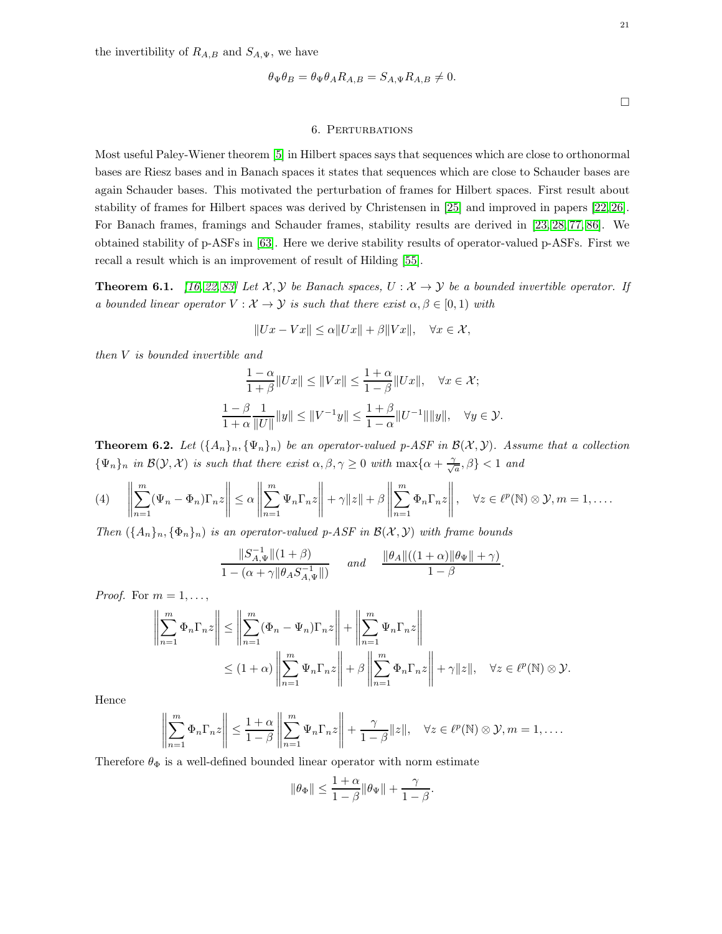the invertibility of  $R_{A,B}$  and  $S_{A,\Psi}$ , we have

$$
\theta_{\Psi}\theta_B = \theta_{\Psi}\theta_A R_{A,B} = S_{A,\Psi} R_{A,B} \neq 0.
$$

 $\Box$ 

# 6. Perturbations

<span id="page-20-0"></span>Most useful Paley-Wiener theorem [\[5\]](#page-23-8) in Hilbert spaces says that sequences which are close to orthonormal bases are Riesz bases and in Banach spaces it states that sequences which are close to Schauder bases are again Schauder bases. This motivated the perturbation of frames for Hilbert spaces. First result about stability of frames for Hilbert spaces was derived by Christensen in [\[25\]](#page-24-18) and improved in papers [\[22,](#page-24-19) [26\]](#page-24-20). For Banach frames, framings and Schauder frames, stability results are derived in [\[23,](#page-24-21) [28,](#page-24-22) [77,](#page-26-17) [86\]](#page-26-18). We obtained stability of p-ASFs in [\[63\]](#page-25-23). Here we derive stability results of operator-valued p-ASFs. First we recall a result which is an improvement of result of Hilding [\[55\]](#page-25-24).

<span id="page-20-2"></span>**Theorem 6.1.** [\[16,](#page-24-23) [22,](#page-24-19) [83\]](#page-26-19) Let  $\mathcal{X}, \mathcal{Y}$  be Banach spaces,  $U : \mathcal{X} \to \mathcal{Y}$  be a bounded invertible operator. If a bounded linear operator  $V : \mathcal{X} \to \mathcal{Y}$  is such that there exist  $\alpha, \beta \in [0, 1)$  with

$$
||Ux - Vx|| \le \alpha ||Ux|| + \beta ||Vx||, \quad \forall x \in \mathcal{X},
$$

then V is bounded invertible and

$$
\frac{1-\alpha}{1+\beta}||Ux|| \le ||Vx|| \le \frac{1+\alpha}{1-\beta}||Ux||, \quad \forall x \in \mathcal{X};
$$
  

$$
\frac{1-\beta}{1+\alpha} \frac{1}{||U||} ||y|| \le ||V^{-1}y|| \le \frac{1+\beta}{1-\alpha} ||U^{-1}|| ||y||, \quad \forall y \in \mathcal{Y}.
$$

<span id="page-20-3"></span>**Theorem 6.2.** Let  $(\{A_n\}_n, \{\Psi_n\}_n)$  be an operator-valued p-ASF in  $\mathcal{B}(\mathcal{X}, \mathcal{Y})$ . Assume that a collection  $\{\Psi_n\}_n$  in  $\mathcal{B}(\mathcal{Y},\mathcal{X})$  is such that there exist  $\alpha,\beta,\gamma\geq 0$  with  $\max\{\alpha+\frac{\gamma}{\sqrt{N}}\}$  $\left\{\frac{1}{a}, \beta\right\} < 1$  and

<span id="page-20-1"></span>
$$
(4) \qquad \left\| \sum_{n=1}^{m} (\Psi_n - \Phi_n) \Gamma_n z \right\| \le \alpha \left\| \sum_{n=1}^{m} \Psi_n \Gamma_n z \right\| + \gamma \|z\| + \beta \left\| \sum_{n=1}^{m} \Phi_n \Gamma_n z \right\|, \quad \forall z \in \ell^p(\mathbb{N}) \otimes \mathcal{Y}, m = 1, \dots
$$

Then  $({A_n}_n)_n, ({\Phi_n}_n)_n$  is an operator-valued p-ASF in  $\mathcal{B}(\mathcal{X}, \mathcal{Y})$  with frame bounds

$$
\frac{\|S_{A,\Psi}^{-1}\|(1+\beta)}{1-(\alpha+\gamma\|\theta_AS_{A,\Psi}^{-1}\|)} \quad \text{and} \quad \frac{\|\theta_A\|((1+\alpha)\|\theta_\Psi\|+\gamma)}{1-\beta}.
$$

*Proof.* For  $m = 1, \ldots$ ,

$$
\left\| \sum_{n=1}^{m} \Phi_n \Gamma_n z \right\| \le \left\| \sum_{n=1}^{m} (\Phi_n - \Psi_n) \Gamma_n z \right\| + \left\| \sum_{n=1}^{m} \Psi_n \Gamma_n z \right\|
$$
  

$$
\le (1 + \alpha) \left\| \sum_{n=1}^{m} \Psi_n \Gamma_n z \right\| + \beta \left\| \sum_{n=1}^{m} \Phi_n \Gamma_n z \right\| + \gamma \|z\|, \quad \forall z \in \ell^p(\mathbb{N}) \otimes \mathcal{Y}.
$$

Hence

$$
\left\|\sum_{n=1}^m \Phi_n \Gamma_n z\right\| \le \frac{1+\alpha}{1-\beta} \left\|\sum_{n=1}^m \Psi_n \Gamma_n z\right\| + \frac{\gamma}{1-\beta} \|z\|, \quad \forall z \in \ell^p(\mathbb{N}) \otimes \mathcal{Y}, m = 1, \dots
$$

Therefore  $\theta_{\Phi}$  is a well-defined bounded linear operator with norm estimate

$$
\|\theta_{\Phi}\| \le \frac{1+\alpha}{1-\beta} \|\theta_{\Psi}\| + \frac{\gamma}{1-\beta}.
$$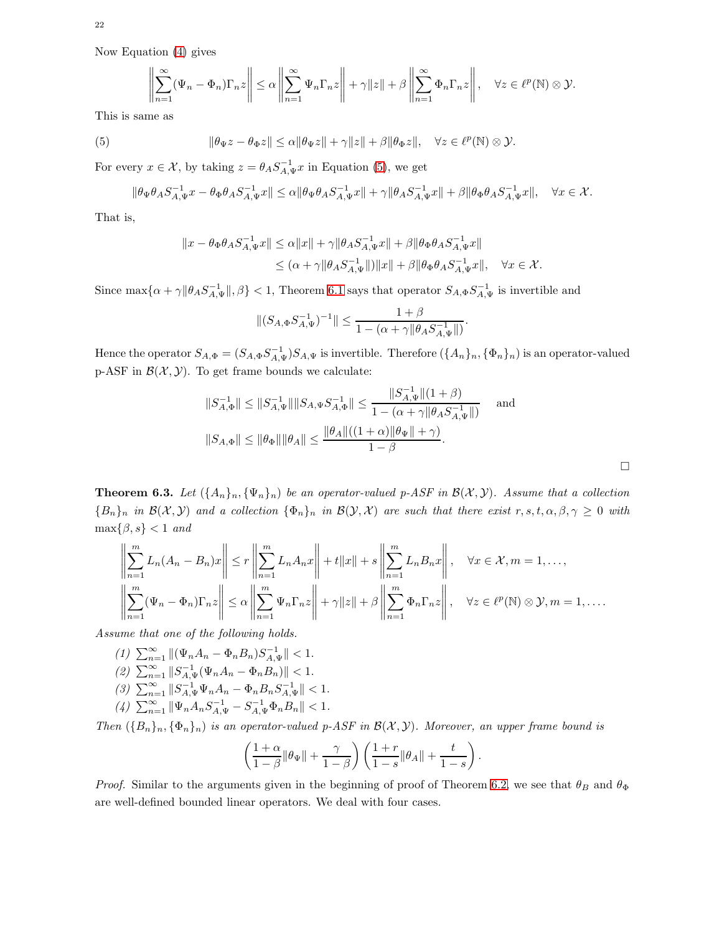Now Equation [\(4\)](#page-20-1) gives

$$
\left\|\sum_{n=1}^{\infty}(\Psi_n-\Phi_n)\Gamma_n z\right\|\leq \alpha\left\|\sum_{n=1}^{\infty}\Psi_n\Gamma_n z\right\|+\gamma\|z\|+\beta\left\|\sum_{n=1}^{\infty}\Phi_n\Gamma_n z\right\|,\quad\forall z\in\ell^p(\mathbb{N})\otimes\mathcal{Y}.
$$

This is same as

<span id="page-21-0"></span>(5) 
$$
\|\theta_{\Psi}z - \theta_{\Phi}z\| \leq \alpha \|\theta_{\Psi}z\| + \gamma \|z\| + \beta \|\theta_{\Phi}z\|, \quad \forall z \in \ell^{p}(\mathbb{N}) \otimes \mathcal{Y}.
$$

For every  $x \in \mathcal{X}$ , by taking  $z = \theta_A S_{A,\Psi}^{-1} x$  in Equation [\(5\)](#page-21-0), we get

$$
\|\theta_\Psi\theta_AS_{A,\Psi}^{-1}x-\theta_\Phi\theta_AS_{A,\Psi}^{-1}x\|\leq\alpha\|\theta_\Psi\theta_AS_{A,\Psi}^{-1}x\|+\gamma\|\theta_AS_{A,\Psi}^{-1}x\|+\beta\|\theta_\Phi\theta_AS_{A,\Psi}^{-1}x\|,\quad\forall x\in\mathcal{X}.
$$

That is,

$$
\begin{aligned} \|x-\theta_\Phi\theta_AS_{A,\Psi}^{-1}x\|\leq\alpha\|x\|+\gamma\|\theta_AS_{A,\Psi}^{-1}x\|+\beta\|\theta_\Phi\theta_AS_{A,\Psi}^{-1}x\|\\ \leq(\alpha+\gamma\|\theta_AS_{A,\Psi}^{-1}\|)\|x\|+\beta\|\theta_\Phi\theta_AS_{A,\Psi}^{-1}x\|,\quad\forall x\in\mathcal{X}. \end{aligned}
$$

Since  $\max\{\alpha+\gamma\|\theta_AS_{A,\Psi}^{-1}\|,\beta\}<1$ , Theorem [6.1](#page-20-2) says that operator  $S_{A,\Phi}S_{A,\Psi}^{-1}$  is invertible and

$$
||(S_{A,\Phi}S_{A,\Psi}^{-1})^{-1}|| \leq \frac{1+\beta}{1-(\alpha+\gamma \|\theta_A S_{A,\Psi}^{-1}\|)}
$$

Hence the operator  $S_{A,\Phi} = (S_{A,\Phi} S_{A,\Psi}^{-1}) S_{A,\Psi}$  is invertible. Therefore  $(\{A_n\}_n, \{\Phi_n\}_n)$  is an operator-valued p-ASF in  $\mathcal{B}(\mathcal{X}, \mathcal{Y})$ . To get frame bounds we calculate:

$$
||S_{A,\Phi}^{-1}|| \le ||S_{A,\Psi}^{-1}|| ||S_{A,\Psi} S_{A,\Phi}^{-1}|| \le \frac{||S_{A,\Psi}^{-1}|| (1+\beta)}{1 - (\alpha + \gamma ||\theta_A S_{A,\Psi}^{-1}||)} \quad \text{and}
$$
  

$$
||S_{A,\Phi}|| \le ||\theta_{\Phi}|| ||\theta_A|| \le \frac{||\theta_A|| ((1+\alpha)||\theta_{\Psi}|| + \gamma)}{1 - \beta}.
$$

.

.

 $\Box$ 

**Theorem 6.3.** Let  $(\{A_n\}_n, \{\Psi_n\}_n)$  be an operator-valued p-ASF in  $\mathcal{B}(\mathcal{X}, \mathcal{Y})$ . Assume that a collection  ${B_n}_n$  in  $\mathcal{B}(\mathcal{X}, \mathcal{Y})$  and a collection  ${\Phi_n}_n$  in  $\mathcal{B}(\mathcal{Y}, \mathcal{X})$  are such that there exist  $r, s, t, \alpha, \beta, \gamma \geq 0$  with  $\max\{\beta, s\} < 1$  and

$$
\left\| \sum_{n=1}^{m} L_n (A_n - B_n) x \right\| \le r \left\| \sum_{n=1}^{m} L_n A_n x \right\| + t \|x\| + s \left\| \sum_{n=1}^{m} L_n B_n x \right\|, \quad \forall x \in \mathcal{X}, m = 1, ...,
$$
  

$$
\left\| \sum_{n=1}^{m} (\Psi_n - \Phi_n) \Gamma_n z \right\| \le \alpha \left\| \sum_{n=1}^{m} \Psi_n \Gamma_n z \right\| + \gamma \|z\| + \beta \left\| \sum_{n=1}^{m} \Phi_n \Gamma_n z \right\|, \quad \forall z \in \ell^p(\mathbb{N}) \otimes \mathcal{Y}, m = 1, ...
$$

Assume that one of the following holds.

- (1)  $\sum_{n=1}^{\infty} ||(\Psi_n A_n \Phi_n B_n) S_{A,\Psi}^{-1}|| < 1.$
- (2)  $\sum_{n=1}^{\infty} ||S_{A,\Psi}^{-1}(\Psi_n A_n \Phi_n B_n)|| < 1.$
- (3)  $\sum_{n=1}^{\infty} ||S_{A,\Psi}^{-1} \Psi_n A_n \Phi_n B_n S_{A,\Psi}^{-1} || < 1.$
- (4)  $\sum_{n=1}^{\infty} \|\Psi_n A_n S_{A,\Psi}^{-1} S_{A,\Psi}^{-1} \Phi_n B_n\| < 1.$

Then  $(\{B_n\}_n, \{\Phi_n\}_n)$  is an operator-valued p-ASF in  $\mathcal{B}(\mathcal{X}, \mathcal{Y})$ . Moreover, an upper frame bound is

$$
\left(\frac{1+\alpha}{1-\beta}\|\theta_{\Psi}\| + \frac{\gamma}{1-\beta}\right)\left(\frac{1+r}{1-s}\|\theta_A\| + \frac{t}{1-s}\right)
$$

*Proof.* Similar to the arguments given in the beginning of proof of Theorem [6.2,](#page-20-3) we see that  $\theta_B$  and  $\theta_\Phi$ are well-defined bounded linear operators. We deal with four cases.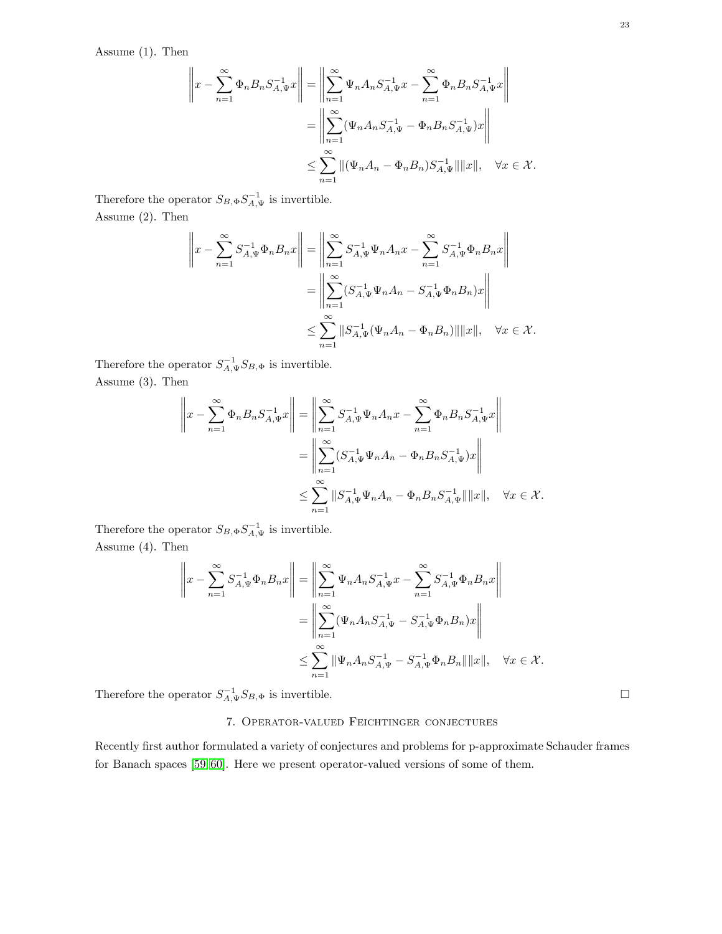Assume (1). Then

$$
\left\|x - \sum_{n=1}^{\infty} \Phi_n B_n S_{A,\Psi}^{-1} x\right\| = \left\|\sum_{n=1}^{\infty} \Psi_n A_n S_{A,\Psi}^{-1} x - \sum_{n=1}^{\infty} \Phi_n B_n S_{A,\Psi}^{-1} x\right\| \n= \left\|\sum_{n=1}^{\infty} (\Psi_n A_n S_{A,\Psi}^{-1} - \Phi_n B_n S_{A,\Psi}^{-1}) x\right\| \n\le \sum_{n=1}^{\infty} \|(\Psi_n A_n - \Phi_n B_n) S_{A,\Psi}^{-1}\| \|x\|, \quad \forall x \in \mathcal{X}.
$$

Therefore the operator  $S_{B, \Phi} S_{A, \Psi}^{-1}$  is invertible. Assume (2). Then

$$
\left\|x - \sum_{n=1}^{\infty} S_{A,\Psi}^{-1} \Phi_n B_n x\right\| = \left\|\sum_{n=1}^{\infty} S_{A,\Psi}^{-1} \Psi_n A_n x - \sum_{n=1}^{\infty} S_{A,\Psi}^{-1} \Phi_n B_n x\right\| \n= \left\|\sum_{n=1}^{\infty} (S_{A,\Psi}^{-1} \Psi_n A_n - S_{A,\Psi}^{-1} \Phi_n B_n) x\right\| \n\le \sum_{n=1}^{\infty} \|S_{A,\Psi}^{-1} (\Psi_n A_n - \Phi_n B_n) \| \|x\|, \quad \forall x \in \mathcal{X}.
$$

Therefore the operator  $S_{A,\Psi}^{-1}S_{B,\Phi}$  is invertible. Assume (3). Then

$$
\left\|x - \sum_{n=1}^{\infty} \Phi_n B_n S_{A,\Psi}^{-1} x\right\| = \left\|\sum_{n=1}^{\infty} S_{A,\Psi}^{-1} \Psi_n A_n x - \sum_{n=1}^{\infty} \Phi_n B_n S_{A,\Psi}^{-1} x\right\| \n= \left\|\sum_{n=1}^{\infty} (S_{A,\Psi}^{-1} \Psi_n A_n - \Phi_n B_n S_{A,\Psi}^{-1}) x\right\| \n\le \sum_{n=1}^{\infty} \|S_{A,\Psi}^{-1} \Psi_n A_n - \Phi_n B_n S_{A,\Psi}^{-1}\| \|x\|, \quad \forall x \in \mathcal{X}.
$$

Therefore the operator  $S_{B, \Phi} S_{A, \Psi}^{-1}$  is invertible. Assume (4). Then

$$
\left\|x - \sum_{n=1}^{\infty} S_{A,\Psi}^{-1} \Phi_n B_n x\right\| = \left\|\sum_{n=1}^{\infty} \Psi_n A_n S_{A,\Psi}^{-1} x - \sum_{n=1}^{\infty} S_{A,\Psi}^{-1} \Phi_n B_n x\right\| \n= \left\|\sum_{n=1}^{\infty} (\Psi_n A_n S_{A,\Psi}^{-1} - S_{A,\Psi}^{-1} \Phi_n B_n) x\right\| \n\le \sum_{n=1}^{\infty} \|\Psi_n A_n S_{A,\Psi}^{-1} - S_{A,\Psi}^{-1} \Phi_n B_n\| \|x\|, \quad \forall x \in \mathcal{X}.
$$

<span id="page-22-0"></span>Therefore the operator  $S_{A,\Psi}^{-1}S_{B,\Phi}$  is invertible.

# 7. Operator-valued Feichtinger conjectures

Recently first author formulated a variety of conjectures and problems for p-approximate Schauder frames for Banach spaces [\[59,](#page-25-25) [60\]](#page-25-26). Here we present operator-valued versions of some of them.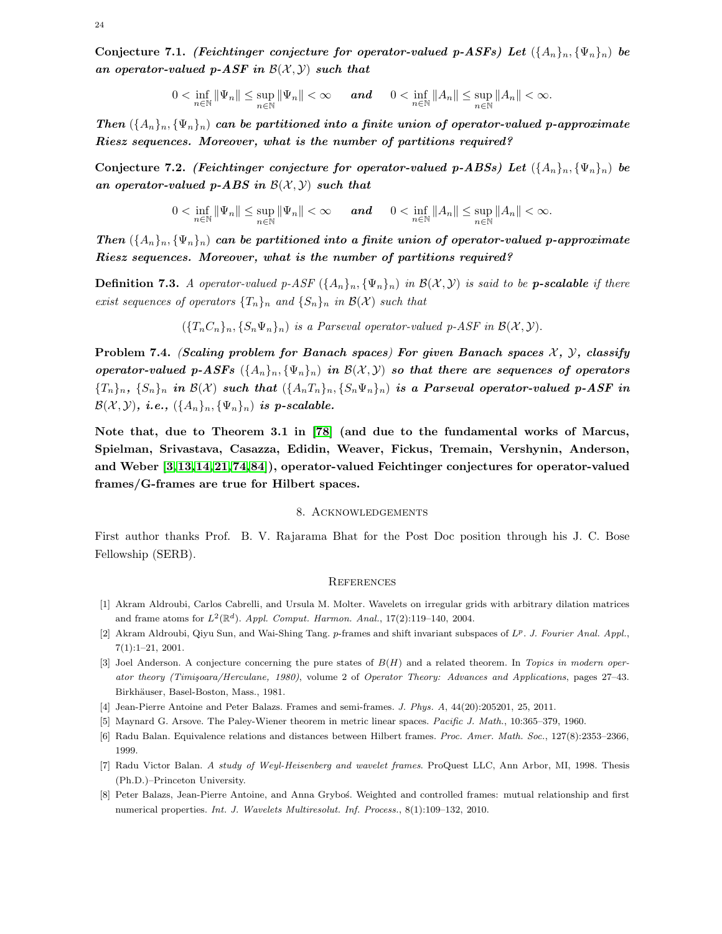Conjecture 7.1. (Feichtinger conjecture for operator-valued p-ASFs) Let  $({A_n}_n, {|\Psi_n}_n)$  be an operator-valued p-ASF in  $\mathcal{B}(\mathcal{X}, \mathcal{Y})$  such that

$$
0 < \inf_{n \in \mathbb{N}} \|\Psi_n\| \leq \sup_{n \in \mathbb{N}} \|\Psi_n\| < \infty \qquad \text{and} \qquad 0 < \inf_{n \in \mathbb{N}} \|A_n\| \leq \sup_{n \in \mathbb{N}} \|A_n\| < \infty.
$$

Then  $({A_n}_n)_{n}, ({\Psi}_n)_n$  can be partitioned into a finite union of operator-valued p-approximate Riesz sequences. Moreover, what is the number of partitions required?

Conjecture 7.2. (Feichtinger conjecture for operator-valued p-ABSs) Let  $({A_n}_n, {|\Psi_n}_n)$  be an operator-valued p-ABS in  $\mathcal{B}(\mathcal{X}, \mathcal{Y})$  such that

$$
0 < \inf_{n \in \mathbb{N}} \|\Psi_n\| \leq \sup_{n \in \mathbb{N}} \|\Psi_n\| < \infty \qquad \text{and} \qquad 0 < \inf_{n \in \mathbb{N}} \|A_n\| \leq \sup_{n \in \mathbb{N}} \|A_n\| < \infty.
$$

Then  $({A_n}_n)_{n}, ({\Psi_n})_n$  can be partitioned into a finite union of operator-valued p-approximate Riesz sequences. Moreover, what is the number of partitions required?

**Definition 7.3.** A operator-valued p-ASF  $(\{A_n\}_n, \{\Psi_n\}_n)$  in  $\mathcal{B}(\mathcal{X}, \mathcal{Y})$  is said to be **p-scalable** if there exist sequences of operators  $\{T_n\}_n$  and  $\{S_n\}_n$  in  $\mathcal{B}(\mathcal{X})$  such that

 $({T_nC_n}_n, {S_n\Psi_n}_n)$  is a Parseval operator-valued p-ASF in  $\mathcal{B}(\mathcal{X}, \mathcal{Y})$ .

Problem 7.4. (Scaling problem for Banach spaces) For given Banach spaces  $\mathcal{X}, \mathcal{Y},$  classify operator-valued p-ASFs  $({A_n}_n)_n, ({\Psi_n})_n$  in  $\mathcal{B}(\mathcal{X}, \mathcal{Y})$  so that there are sequences of operators  ${\{T_n\}_n, \{S_n\}_n$  in  $\mathcal{B}(\mathcal{X})$  such that  $({A_nT_n})_n, {S_n\Psi_n}\}$  is a Parseval operator-valued p-ASF in  $\mathcal{B}(\mathcal{X}, \mathcal{Y})$ , i.e.,  $(\{A_n\}_n, {\{\Psi_n\}_n})$  is p-scalable.

Note that, due to Theorem 3.1 in [\[78\]](#page-26-5) (and due to the fundamental works of Marcus, Spielman, Srivastava, Casazza, Edidin, Weaver, Fickus, Tremain, Vershynin, Anderson, and Weber [\[3,](#page-23-9)[13,](#page-24-24)[14,](#page-24-25)[21,](#page-24-26)[74,](#page-26-20)[84\]](#page-26-21)), operator-valued Feichtinger conjectures for operator-valued frames/G-frames are true for Hilbert spaces.

# 8. Acknowledgements

<span id="page-23-0"></span>First author thanks Prof. B. V. Rajarama Bhat for the Post Doc position through his J. C. Bose Fellowship (SERB).

#### <span id="page-23-1"></span>**REFERENCES**

- <span id="page-23-3"></span>[1] Akram Aldroubi, Carlos Cabrelli, and Ursula M. Molter. Wavelets on irregular grids with arbitrary dilation matrices and frame atoms for  $L^2(\mathbb{R}^d)$ . Appl. Comput. Harmon. Anal., 17(2):119-140, 2004.
- <span id="page-23-9"></span><span id="page-23-2"></span>[2] Akram Aldroubi, Qiyu Sun, and Wai-Shing Tang. p-frames and shift invariant subspaces of  $L^p$ . J. Fourier Anal. Appl., 7(1):1–21, 2001.
- [3] Joel Anderson. A conjecture concerning the pure states of  $B(H)$  and a related theorem. In Topics in modern operator theory (Timişoara/Herculane, 1980), volume 2 of Operator Theory: Advances and Applications, pages 27–43. Birkhäuser, Basel-Boston, Mass., 1981.
- <span id="page-23-8"></span><span id="page-23-5"></span>[4] Jean-Pierre Antoine and Peter Balazs. Frames and semi-frames. J. Phys. A, 44(20):205201, 25, 2011.
- <span id="page-23-7"></span>[5] Maynard G. Arsove. The Paley-Wiener theorem in metric linear spaces. Pacific J. Math., 10:365–379, 1960.
- <span id="page-23-6"></span>[6] Radu Balan. Equivalence relations and distances between Hilbert frames. Proc. Amer. Math. Soc., 127(8):2353–2366, 1999.
- <span id="page-23-4"></span>[7] Radu Victor Balan. A study of Weyl-Heisenberg and wavelet frames. ProQuest LLC, Ann Arbor, MI, 1998. Thesis (Ph.D.)–Princeton University.
- [8] Peter Balazs, Jean-Pierre Antoine, and Anna Gryboś. Weighted and controlled frames: mutual relationship and first numerical properties. Int. J. Wavelets Multiresolut. Inf. Process., 8(1):109–132, 2010.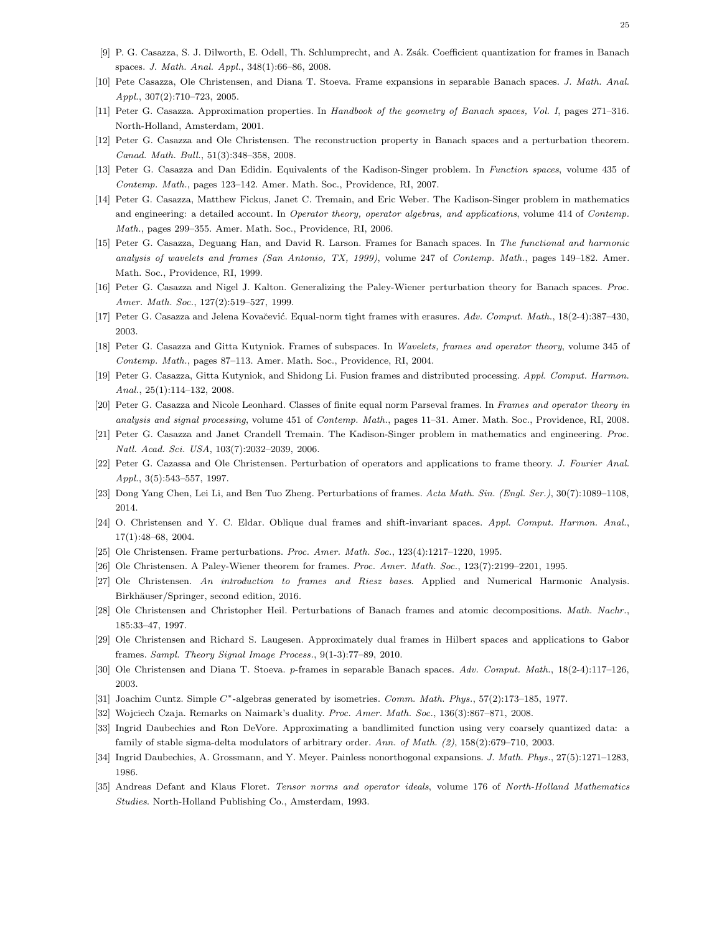- <span id="page-24-9"></span><span id="page-24-2"></span>[9] P. G. Casazza, S. J. Dilworth, E. Odell, Th. Schlumprecht, and A. Zsák. Coefficient quantization for frames in Banach spaces. J. Math. Anal. Appl., 348(1):66–86, 2008.
- <span id="page-24-5"></span>[10] Pete Casazza, Ole Christensen, and Diana T. Stoeva. Frame expansions in separable Banach spaces. J. Math. Anal. Appl., 307(2):710–723, 2005.
- <span id="page-24-6"></span>[11] Peter G. Casazza. Approximation properties. In Handbook of the geometry of Banach spaces, Vol. I, pages 271–316. North-Holland, Amsterdam, 2001.
- <span id="page-24-24"></span>[12] Peter G. Casazza and Ole Christensen. The reconstruction property in Banach spaces and a perturbation theorem. Canad. Math. Bull., 51(3):348–358, 2008.
- <span id="page-24-25"></span>[13] Peter G. Casazza and Dan Edidin. Equivalents of the Kadison-Singer problem. In Function spaces, volume 435 of Contemp. Math., pages 123–142. Amer. Math. Soc., Providence, RI, 2007.
- [14] Peter G. Casazza, Matthew Fickus, Janet C. Tremain, and Eric Weber. The Kadison-Singer problem in mathematics and engineering: a detailed account. In Operator theory, operator algebras, and applications, volume 414 of Contemp. Math., pages 299–355. Amer. Math. Soc., Providence, RI, 2006.
- <span id="page-24-3"></span>[15] Peter G. Casazza, Deguang Han, and David R. Larson. Frames for Banach spaces. In The functional and harmonic analysis of wavelets and frames (San Antonio, TX, 1999), volume 247 of Contemp. Math., pages 149–182. Amer. Math. Soc., Providence, RI, 1999.
- <span id="page-24-23"></span><span id="page-24-16"></span>[16] Peter G. Casazza and Nigel J. Kalton. Generalizing the Paley-Wiener perturbation theory for Banach spaces. Proc. Amer. Math. Soc., 127(2):519–527, 1999.
- <span id="page-24-10"></span>[17] Peter G. Casazza and Jelena Kovačević. Equal-norm tight frames with erasures. Adv. Comput. Math., 18(2-4):387-430, 2003.
- <span id="page-24-11"></span>[18] Peter G. Casazza and Gitta Kutyniok. Frames of subspaces. In Wavelets, frames and operator theory, volume 345 of Contemp. Math., pages 87–113. Amer. Math. Soc., Providence, RI, 2004.
- <span id="page-24-15"></span>[19] Peter G. Casazza, Gitta Kutyniok, and Shidong Li. Fusion frames and distributed processing. Appl. Comput. Harmon. Anal., 25(1):114–132, 2008.
- <span id="page-24-26"></span>[20] Peter G. Casazza and Nicole Leonhard. Classes of finite equal norm Parseval frames. In Frames and operator theory in analysis and signal processing, volume 451 of Contemp. Math., pages 11–31. Amer. Math. Soc., Providence, RI, 2008.
- <span id="page-24-19"></span>[21] Peter G. Casazza and Janet Crandell Tremain. The Kadison-Singer problem in mathematics and engineering. Proc. Natl. Acad. Sci. USA, 103(7):2032–2039, 2006.
- <span id="page-24-21"></span>[22] Peter G. Cazassa and Ole Christensen. Perturbation of operators and applications to frame theory. J. Fourier Anal. Appl., 3(5):543–557, 1997.
- <span id="page-24-12"></span>[23] Dong Yang Chen, Lei Li, and Ben Tuo Zheng. Perturbations of frames. Acta Math. Sin. (Engl. Ser.), 30(7):1089–1108, 2014.
- <span id="page-24-18"></span>[24] O. Christensen and Y. C. Eldar. Oblique dual frames and shift-invariant spaces. Appl. Comput. Harmon. Anal., 17(1):48–68, 2004.
- <span id="page-24-20"></span>[25] Ole Christensen. Frame perturbations. Proc. Amer. Math. Soc., 123(4):1217–1220, 1995.
- <span id="page-24-0"></span>[26] Ole Christensen. A Paley-Wiener theorem for frames. Proc. Amer. Math. Soc., 123(7):2199–2201, 1995.
- <span id="page-24-22"></span>[27] Ole Christensen. An introduction to frames and Riesz bases. Applied and Numerical Harmonic Analysis. Birkhäuser/Springer, second edition, 2016.
- <span id="page-24-17"></span>[28] Ole Christensen and Christopher Heil. Perturbations of Banach frames and atomic decompositions. Math. Nachr., 185:33–47, 1997.
- <span id="page-24-4"></span>[29] Ole Christensen and Richard S. Laugesen. Approximately dual frames in Hilbert spaces and applications to Gabor frames. Sampl. Theory Signal Image Process., 9(1-3):77–89, 2010.
- <span id="page-24-14"></span>[30] Ole Christensen and Diana T. Stoeva. p-frames in separable Banach spaces. Adv. Comput. Math., 18(2-4):117–126, 2003.
- <span id="page-24-7"></span>[31] Joachim Cuntz. Simple C∗-algebras generated by isometries. Comm. Math. Phys., 57(2):173–185, 1977.
- <span id="page-24-8"></span>[32] Wojciech Czaja. Remarks on Naimark's duality. Proc. Amer. Math. Soc., 136(3):867–871, 2008.
- <span id="page-24-1"></span>[33] Ingrid Daubechies and Ron DeVore. Approximating a bandlimited function using very coarsely quantized data: a family of stable sigma-delta modulators of arbitrary order. Ann. of Math. (2), 158(2):679–710, 2003.
- <span id="page-24-13"></span>[34] Ingrid Daubechies, A. Grossmann, and Y. Meyer. Painless nonorthogonal expansions. J. Math. Phys., 27(5):1271–1283, 1986.
- [35] Andreas Defant and Klaus Floret. Tensor norms and operator ideals, volume 176 of North-Holland Mathematics Studies. North-Holland Publishing Co., Amsterdam, 1993.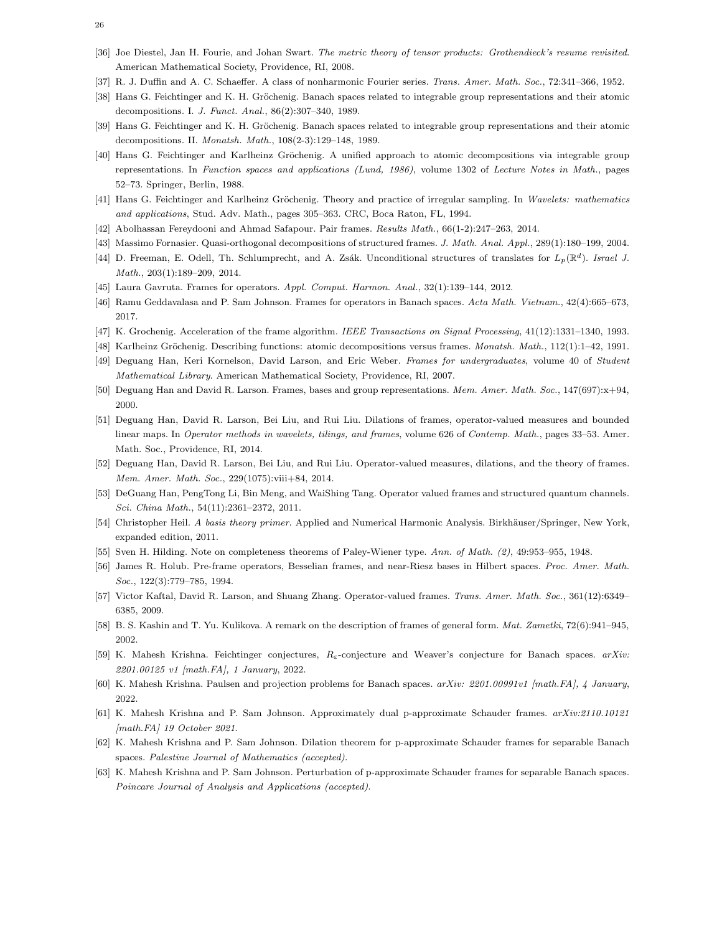- <span id="page-25-13"></span><span id="page-25-0"></span>[36] Joe Diestel, Jan H. Fourie, and Johan Swart. The metric theory of tensor products: Grothendieck's resume revisited. American Mathematical Society, Providence, RI, 2008.
- <span id="page-25-3"></span>[37] R. J. Duffin and A. C. Schaeffer. A class of nonharmonic Fourier series. Trans. Amer. Math. Soc., 72:341–366, 1952.
- [38] Hans G. Feichtinger and K. H. Gröchenig. Banach spaces related to integrable group representations and their atomic decompositions. I. J. Funct. Anal., 86(2):307–340, 1989.
- <span id="page-25-4"></span>[39] Hans G. Feichtinger and K. H. Gröchenig. Banach spaces related to integrable group representations and their atomic decompositions. II. Monatsh. Math., 108(2-3):129–148, 1989.
- [40] Hans G. Feichtinger and Karlheinz Gröchenig. A unified approach to atomic decompositions via integrable group representations. In Function spaces and applications (Lund, 1986), volume 1302 of Lecture Notes in Math., pages 52–73. Springer, Berlin, 1988.
- <span id="page-25-21"></span><span id="page-25-10"></span>[41] Hans G. Feichtinger and Karlheinz Gröchenig. Theory and practice of irregular sampling. In Wavelets: mathematics and applications, Stud. Adv. Math., pages 305–363. CRC, Boca Raton, FL, 1994.
- <span id="page-25-8"></span>[42] Abolhassan Fereydooni and Ahmad Safapour. Pair frames. Results Math., 66(1-2):247–263, 2014.
- <span id="page-25-7"></span>[43] Massimo Fornasier. Quasi-orthogonal decompositions of structured frames. J. Math. Anal. Appl., 289(1):180–199, 2004.
- <span id="page-25-11"></span>[44] D. Freeman, E. Odell, Th. Schlumprecht, and A. Zsák. Unconditional structures of translates for  $L_p(\mathbb{R}^d)$ . Israel J. Math., 203(1):189–209, 2014.
- <span id="page-25-12"></span>[45] Laura Gavruta. Frames for operators. Appl. Comput. Harmon. Anal., 32(1):139–144, 2012.
- <span id="page-25-14"></span>[46] Ramu Geddavalasa and P. Sam Johnson. Frames for operators in Banach spaces. Acta Math. Vietnam., 42(4):665–673, 2017.
- <span id="page-25-2"></span>[47] K. Grochenig. Acceleration of the frame algorithm. IEEE Transactions on Signal Processing, 41(12):1331–1340, 1993.
- <span id="page-25-20"></span>[48] Karlheinz Gröchenig. Describing functions: atomic decompositions versus frames. Monatsh. Math., 112(1):1–42, 1991.
- <span id="page-25-5"></span>[49] Deguang Han, Keri Kornelson, David Larson, and Eric Weber. Frames for undergraduates, volume 40 of Student Mathematical Library. American Mathematical Society, Providence, RI, 2007.
- <span id="page-25-16"></span>[50] Deguang Han and David R. Larson. Frames, bases and group representations. Mem. Amer. Math. Soc., 147(697):x+94, 2000.
- [51] Deguang Han, David R. Larson, Bei Liu, and Rui Liu. Dilations of frames, operator-valued measures and bounded linear maps. In Operator methods in wavelets, tilings, and frames, volume 626 of Contemp. Math., pages 33–53. Amer. Math. Soc., Providence, RI, 2014.
- <span id="page-25-18"></span><span id="page-25-17"></span>[52] Deguang Han, David R. Larson, Bei Liu, and Rui Liu. Operator-valued measures, dilations, and the theory of frames. Mem. Amer. Math. Soc., 229(1075):viii+84, 2014.
- <span id="page-25-1"></span>[53] DeGuang Han, PengTong Li, Bin Meng, and WaiShing Tang. Operator valued frames and structured quantum channels. Sci. China Math., 54(11):2361–2372, 2011.
- <span id="page-25-24"></span>[54] Christopher Heil. A basis theory primer. Applied and Numerical Harmonic Analysis. Birkhäuser/Springer, New York, expanded edition, 2011.
- <span id="page-25-19"></span>[55] Sven H. Hilding. Note on completeness theorems of Paley-Wiener type. Ann. of Math. (2), 49:953-955, 1948.
- <span id="page-25-9"></span>[56] James R. Holub. Pre-frame operators, Besselian frames, and near-Riesz bases in Hilbert spaces. Proc. Amer. Math. Soc., 122(3):779–785, 1994.
- <span id="page-25-6"></span>[57] Victor Kaftal, David R. Larson, and Shuang Zhang. Operator-valued frames. Trans. Amer. Math. Soc., 361(12):6349– 6385, 2009.
- <span id="page-25-25"></span>[58] B. S. Kashin and T. Yu. Kulikova. A remark on the description of frames of general form. Mat. Zametki, 72(6):941–945, 2002.
- <span id="page-25-26"></span>[59] K. Mahesh Krishna. Feichtinger conjectures,  $R_{\varepsilon}$ -conjecture and Weaver's conjecture for Banach spaces. arXiv: 2201.00125 v1 [math.FA], 1 January, 2022.
- <span id="page-25-22"></span>[60] K. Mahesh Krishna. Paulsen and projection problems for Banach spaces. arXiv: 2201.00991v1 [math.FA], 4 January, 2022.
- <span id="page-25-15"></span>[61] K. Mahesh Krishna and P. Sam Johnson. Approximately dual p-approximate Schauder frames. arXiv:2110.10121 [math.FA] 19 October 2021.
- [62] K. Mahesh Krishna and P. Sam Johnson. Dilation theorem for p-approximate Schauder frames for separable Banach spaces. Palestine Journal of Mathematics (accepted).
- <span id="page-25-23"></span>[63] K. Mahesh Krishna and P. Sam Johnson. Perturbation of p-approximate Schauder frames for separable Banach spaces. Poincare Journal of Analysis and Applications (accepted).